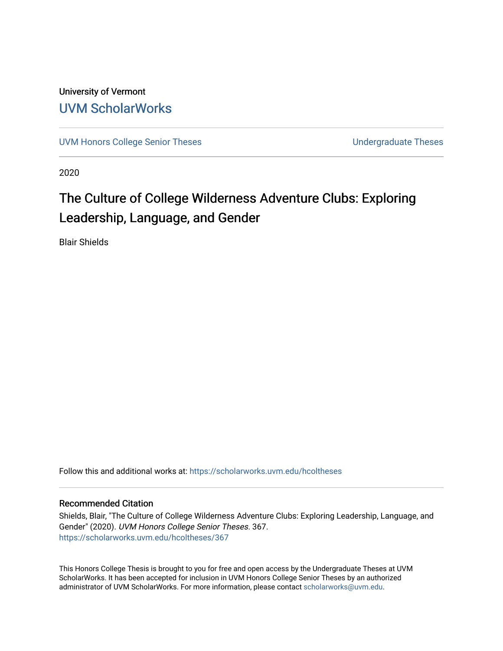University of Vermont [UVM ScholarWorks](https://scholarworks.uvm.edu/)

[UVM Honors College Senior Theses](https://scholarworks.uvm.edu/hcoltheses) **Exercise Sension College Senior Theses** Undergraduate Theses

2020

# The Culture of College Wilderness Adventure Clubs: Exploring Leadership, Language, and Gender

Blair Shields

Follow this and additional works at: [https://scholarworks.uvm.edu/hcoltheses](https://scholarworks.uvm.edu/hcoltheses?utm_source=scholarworks.uvm.edu%2Fhcoltheses%2F367&utm_medium=PDF&utm_campaign=PDFCoverPages) 

#### Recommended Citation

Shields, Blair, "The Culture of College Wilderness Adventure Clubs: Exploring Leadership, Language, and Gender" (2020). UVM Honors College Senior Theses. 367. [https://scholarworks.uvm.edu/hcoltheses/367](https://scholarworks.uvm.edu/hcoltheses/367?utm_source=scholarworks.uvm.edu%2Fhcoltheses%2F367&utm_medium=PDF&utm_campaign=PDFCoverPages) 

This Honors College Thesis is brought to you for free and open access by the Undergraduate Theses at UVM ScholarWorks. It has been accepted for inclusion in UVM Honors College Senior Theses by an authorized administrator of UVM ScholarWorks. For more information, please contact [scholarworks@uvm.edu](mailto:scholarworks@uvm.edu).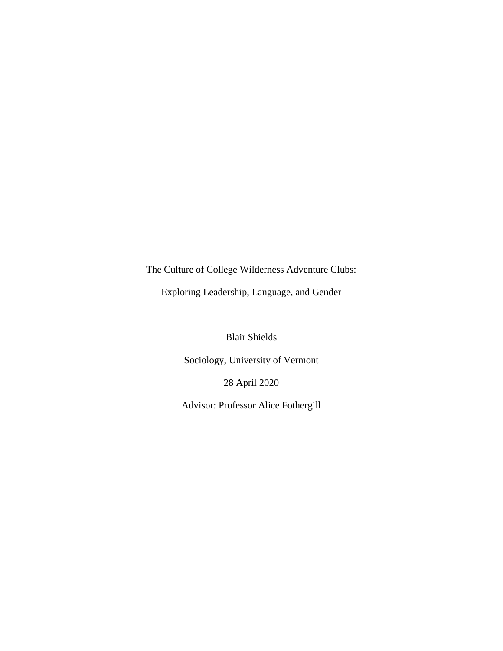The Culture of College Wilderness Adventure Clubs:

Exploring Leadership, Language, and Gender

Blair Shields

Sociology, University of Vermont

28 April 2020

Advisor: Professor Alice Fothergill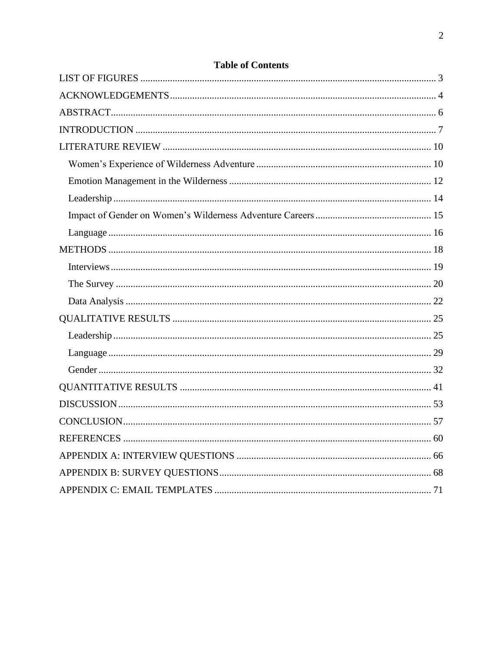# **Table of Contents**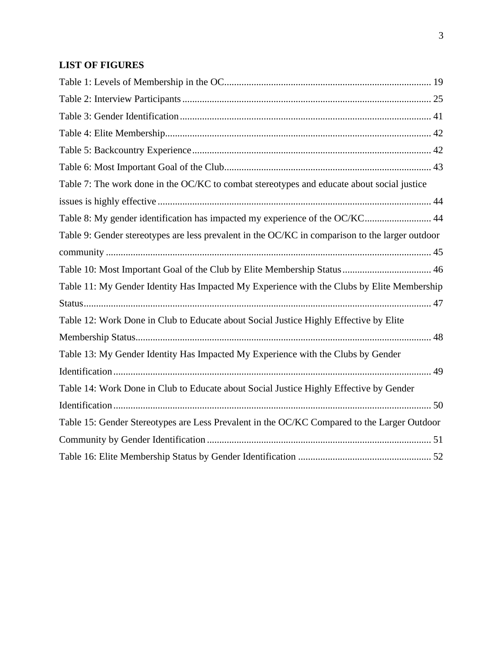# <span id="page-3-0"></span>**LIST OF FIGURES**

| Table 7: The work done in the OC/KC to combat stereotypes and educate about social justice      |
|-------------------------------------------------------------------------------------------------|
|                                                                                                 |
| Table 8: My gender identification has impacted my experience of the OC/KC 44                    |
| Table 9: Gender stereotypes are less prevalent in the OC/KC in comparison to the larger outdoor |
|                                                                                                 |
|                                                                                                 |
| Table 11: My Gender Identity Has Impacted My Experience with the Clubs by Elite Membership      |
|                                                                                                 |
| Table 12: Work Done in Club to Educate about Social Justice Highly Effective by Elite           |
|                                                                                                 |
| Table 13: My Gender Identity Has Impacted My Experience with the Clubs by Gender                |
|                                                                                                 |
| Table 14: Work Done in Club to Educate about Social Justice Highly Effective by Gender          |
|                                                                                                 |
| Table 15: Gender Stereotypes are Less Prevalent in the OC/KC Compared to the Larger Outdoor     |
|                                                                                                 |
|                                                                                                 |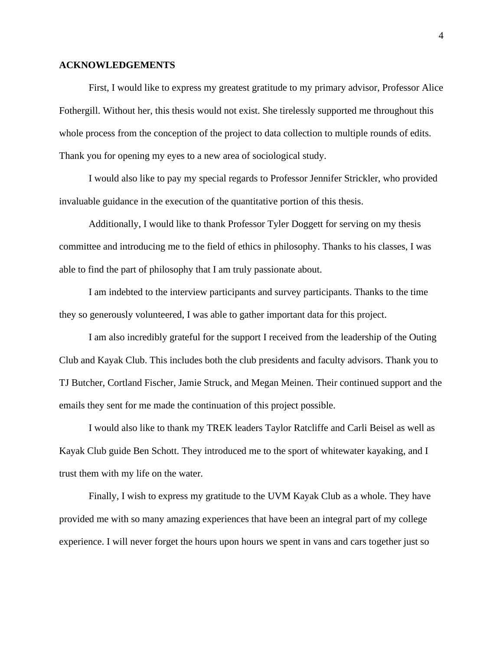#### <span id="page-4-0"></span>**ACKNOWLEDGEMENTS**

First, I would like to express my greatest gratitude to my primary advisor, Professor Alice Fothergill. Without her, this thesis would not exist. She tirelessly supported me throughout this whole process from the conception of the project to data collection to multiple rounds of edits. Thank you for opening my eyes to a new area of sociological study.

I would also like to pay my special regards to Professor Jennifer Strickler, who provided invaluable guidance in the execution of the quantitative portion of this thesis.

Additionally, I would like to thank Professor Tyler Doggett for serving on my thesis committee and introducing me to the field of ethics in philosophy. Thanks to his classes, I was able to find the part of philosophy that I am truly passionate about.

I am indebted to the interview participants and survey participants. Thanks to the time they so generously volunteered, I was able to gather important data for this project.

I am also incredibly grateful for the support I received from the leadership of the Outing Club and Kayak Club. This includes both the club presidents and faculty advisors. Thank you to TJ Butcher, Cortland Fischer, Jamie Struck, and Megan Meinen. Their continued support and the emails they sent for me made the continuation of this project possible.

I would also like to thank my TREK leaders Taylor Ratcliffe and Carli Beisel as well as Kayak Club guide Ben Schott. They introduced me to the sport of whitewater kayaking, and I trust them with my life on the water.

Finally, I wish to express my gratitude to the UVM Kayak Club as a whole. They have provided me with so many amazing experiences that have been an integral part of my college experience. I will never forget the hours upon hours we spent in vans and cars together just so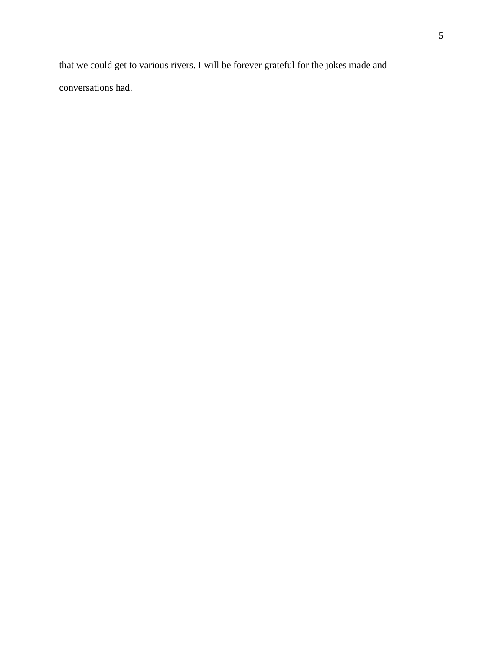that we could get to various rivers. I will be forever grateful for the jokes made and conversations had.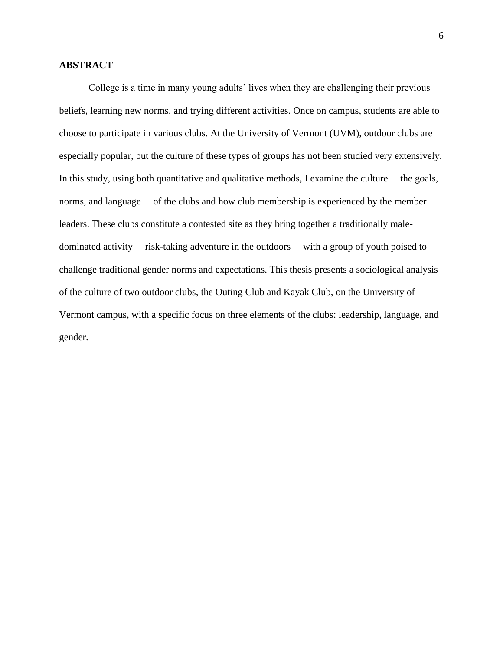# <span id="page-6-0"></span>**ABSTRACT**

College is a time in many young adults' lives when they are challenging their previous beliefs, learning new norms, and trying different activities. Once on campus, students are able to choose to participate in various clubs. At the University of Vermont (UVM), outdoor clubs are especially popular, but the culture of these types of groups has not been studied very extensively. In this study, using both quantitative and qualitative methods, I examine the culture— the goals, norms, and language— of the clubs and how club membership is experienced by the member leaders. These clubs constitute a contested site as they bring together a traditionally maledominated activity⸻ risk-taking adventure in the outdoors⸻ with a group of youth poised to challenge traditional gender norms and expectations. This thesis presents a sociological analysis of the culture of two outdoor clubs, the Outing Club and Kayak Club, on the University of Vermont campus, with a specific focus on three elements of the clubs: leadership, language, and gender.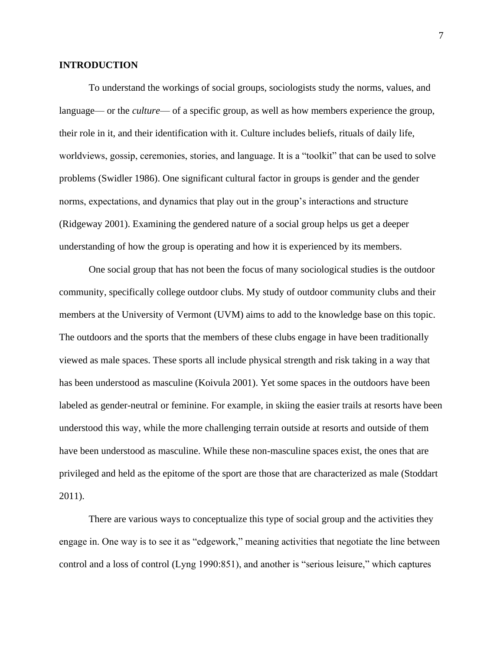## <span id="page-7-0"></span>**INTRODUCTION**

To understand the workings of social groups, sociologists study the norms, values, and language— or the *culture*— of a specific group, as well as how members experience the group, their role in it, and their identification with it. Culture includes beliefs, rituals of daily life, worldviews, gossip, ceremonies, stories, and language. It is a "toolkit" that can be used to solve problems (Swidler 1986). One significant cultural factor in groups is gender and the gender norms, expectations, and dynamics that play out in the group's interactions and structure (Ridgeway 2001). Examining the gendered nature of a social group helps us get a deeper understanding of how the group is operating and how it is experienced by its members.

One social group that has not been the focus of many sociological studies is the outdoor community, specifically college outdoor clubs. My study of outdoor community clubs and their members at the University of Vermont (UVM) aims to add to the knowledge base on this topic. The outdoors and the sports that the members of these clubs engage in have been traditionally viewed as male spaces. These sports all include physical strength and risk taking in a way that has been understood as masculine (Koivula 2001). Yet some spaces in the outdoors have been labeled as gender-neutral or feminine. For example, in skiing the easier trails at resorts have been understood this way, while the more challenging terrain outside at resorts and outside of them have been understood as masculine. While these non-masculine spaces exist, the ones that are privileged and held as the epitome of the sport are those that are characterized as male (Stoddart 2011).

There are various ways to conceptualize this type of social group and the activities they engage in. One way is to see it as "edgework," meaning activities that negotiate the line between control and a loss of control (Lyng 1990:851), and another is "serious leisure," which captures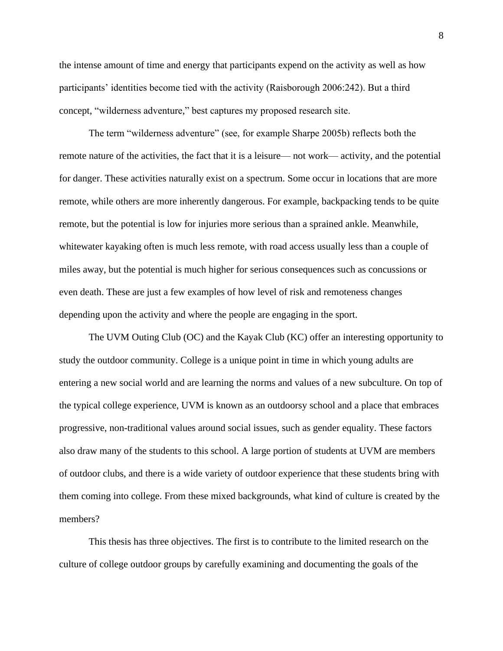the intense amount of time and energy that participants expend on the activity as well as how participants' identities become tied with the activity (Raisborough 2006:242). But a third concept, "wilderness adventure," best captures my proposed research site.

The term "wilderness adventure" (see, for example Sharpe 2005b) reflects both the remote nature of the activities, the fact that it is a leisure— not work— activity, and the potential for danger. These activities naturally exist on a spectrum. Some occur in locations that are more remote, while others are more inherently dangerous. For example, backpacking tends to be quite remote, but the potential is low for injuries more serious than a sprained ankle. Meanwhile, whitewater kayaking often is much less remote, with road access usually less than a couple of miles away, but the potential is much higher for serious consequences such as concussions or even death. These are just a few examples of how level of risk and remoteness changes depending upon the activity and where the people are engaging in the sport.

The UVM Outing Club (OC) and the Kayak Club (KC) offer an interesting opportunity to study the outdoor community. College is a unique point in time in which young adults are entering a new social world and are learning the norms and values of a new subculture. On top of the typical college experience, UVM is known as an outdoorsy school and a place that embraces progressive, non-traditional values around social issues, such as gender equality. These factors also draw many of the students to this school. A large portion of students at UVM are members of outdoor clubs, and there is a wide variety of outdoor experience that these students bring with them coming into college. From these mixed backgrounds, what kind of culture is created by the members?

This thesis has three objectives. The first is to contribute to the limited research on the culture of college outdoor groups by carefully examining and documenting the goals of the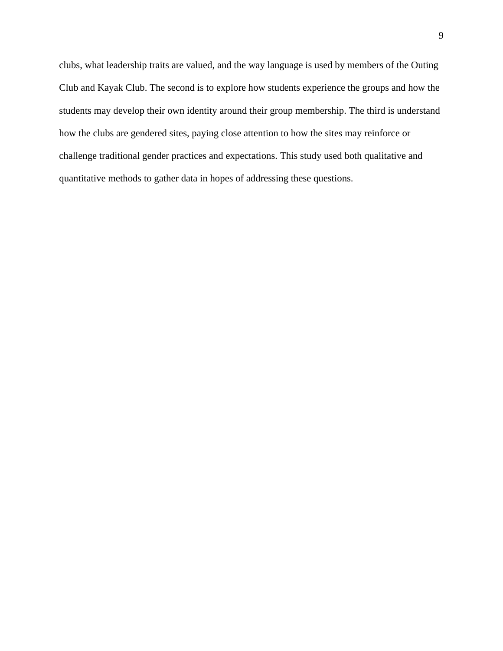clubs, what leadership traits are valued, and the way language is used by members of the Outing Club and Kayak Club. The second is to explore how students experience the groups and how the students may develop their own identity around their group membership. The third is understand how the clubs are gendered sites, paying close attention to how the sites may reinforce or challenge traditional gender practices and expectations. This study used both qualitative and quantitative methods to gather data in hopes of addressing these questions.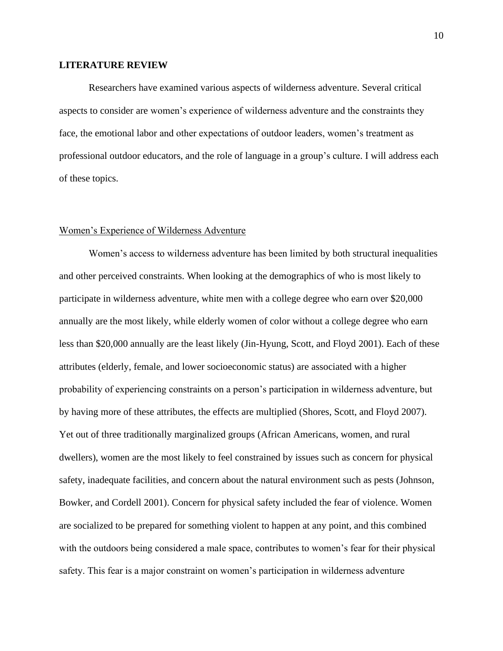#### <span id="page-10-0"></span>**LITERATURE REVIEW**

Researchers have examined various aspects of wilderness adventure. Several critical aspects to consider are women's experience of wilderness adventure and the constraints they face, the emotional labor and other expectations of outdoor leaders, women's treatment as professional outdoor educators, and the role of language in a group's culture. I will address each of these topics.

## <span id="page-10-1"></span>Women's Experience of Wilderness Adventure

Women's access to wilderness adventure has been limited by both structural inequalities and other perceived constraints. When looking at the demographics of who is most likely to participate in wilderness adventure, white men with a college degree who earn over \$20,000 annually are the most likely, while elderly women of color without a college degree who earn less than \$20,000 annually are the least likely (Jin-Hyung, Scott, and Floyd 2001). Each of these attributes (elderly, female, and lower socioeconomic status) are associated with a higher probability of experiencing constraints on a person's participation in wilderness adventure, but by having more of these attributes, the effects are multiplied (Shores, Scott, and Floyd 2007). Yet out of three traditionally marginalized groups (African Americans, women, and rural dwellers), women are the most likely to feel constrained by issues such as concern for physical safety, inadequate facilities, and concern about the natural environment such as pests (Johnson, Bowker, and Cordell 2001). Concern for physical safety included the fear of violence. Women are socialized to be prepared for something violent to happen at any point, and this combined with the outdoors being considered a male space, contributes to women's fear for their physical safety. This fear is a major constraint on women's participation in wilderness adventure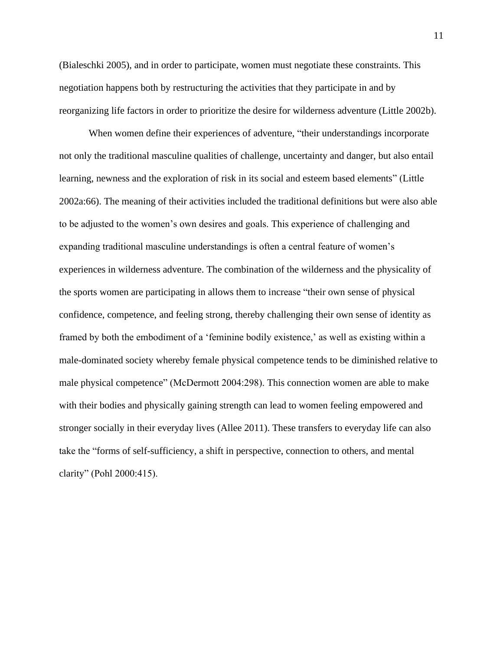(Bialeschki 2005), and in order to participate, women must negotiate these constraints. This negotiation happens both by restructuring the activities that they participate in and by reorganizing life factors in order to prioritize the desire for wilderness adventure (Little 2002b).

When women define their experiences of adventure, "their understandings incorporate not only the traditional masculine qualities of challenge, uncertainty and danger, but also entail learning, newness and the exploration of risk in its social and esteem based elements" (Little 2002a:66). The meaning of their activities included the traditional definitions but were also able to be adjusted to the women's own desires and goals. This experience of challenging and expanding traditional masculine understandings is often a central feature of women's experiences in wilderness adventure. The combination of the wilderness and the physicality of the sports women are participating in allows them to increase "their own sense of physical confidence, competence, and feeling strong, thereby challenging their own sense of identity as framed by both the embodiment of a 'feminine bodily existence,' as well as existing within a male-dominated society whereby female physical competence tends to be diminished relative to male physical competence" (McDermott 2004:298). This connection women are able to make with their bodies and physically gaining strength can lead to women feeling empowered and stronger socially in their everyday lives (Allee 2011). These transfers to everyday life can also take the "forms of self-sufficiency, a shift in perspective, connection to others, and mental clarity" (Pohl 2000:415).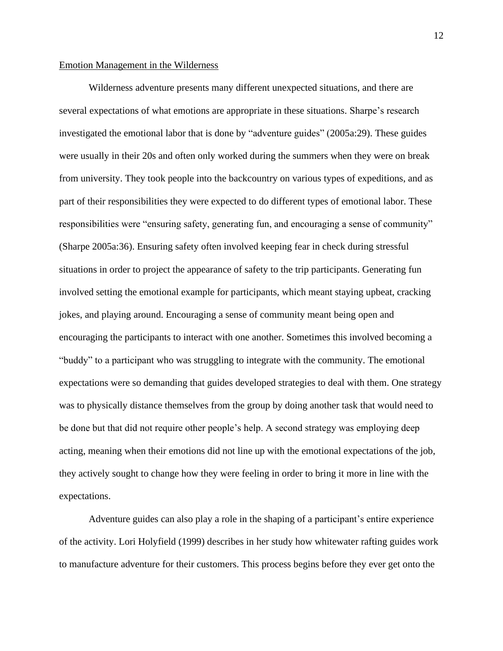#### <span id="page-12-0"></span>Emotion Management in the Wilderness

Wilderness adventure presents many different unexpected situations, and there are several expectations of what emotions are appropriate in these situations. Sharpe's research investigated the emotional labor that is done by "adventure guides" (2005a:29). These guides were usually in their 20s and often only worked during the summers when they were on break from university. They took people into the backcountry on various types of expeditions, and as part of their responsibilities they were expected to do different types of emotional labor. These responsibilities were "ensuring safety, generating fun, and encouraging a sense of community" (Sharpe 2005a:36). Ensuring safety often involved keeping fear in check during stressful situations in order to project the appearance of safety to the trip participants. Generating fun involved setting the emotional example for participants, which meant staying upbeat, cracking jokes, and playing around. Encouraging a sense of community meant being open and encouraging the participants to interact with one another. Sometimes this involved becoming a "buddy" to a participant who was struggling to integrate with the community. The emotional expectations were so demanding that guides developed strategies to deal with them. One strategy was to physically distance themselves from the group by doing another task that would need to be done but that did not require other people's help. A second strategy was employing deep acting, meaning when their emotions did not line up with the emotional expectations of the job, they actively sought to change how they were feeling in order to bring it more in line with the expectations.

Adventure guides can also play a role in the shaping of a participant's entire experience of the activity. Lori Holyfield (1999) describes in her study how whitewater rafting guides work to manufacture adventure for their customers. This process begins before they ever get onto the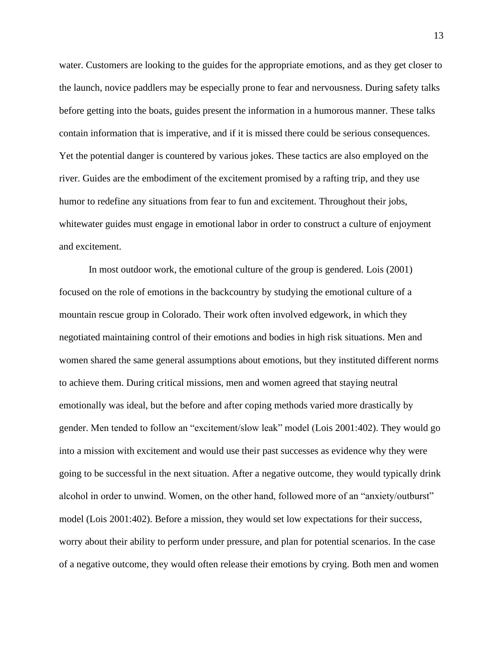water. Customers are looking to the guides for the appropriate emotions, and as they get closer to the launch, novice paddlers may be especially prone to fear and nervousness. During safety talks before getting into the boats, guides present the information in a humorous manner. These talks contain information that is imperative, and if it is missed there could be serious consequences. Yet the potential danger is countered by various jokes. These tactics are also employed on the river. Guides are the embodiment of the excitement promised by a rafting trip, and they use humor to redefine any situations from fear to fun and excitement. Throughout their jobs, whitewater guides must engage in emotional labor in order to construct a culture of enjoyment and excitement.

In most outdoor work, the emotional culture of the group is gendered. Lois (2001) focused on the role of emotions in the backcountry by studying the emotional culture of a mountain rescue group in Colorado. Their work often involved edgework, in which they negotiated maintaining control of their emotions and bodies in high risk situations. Men and women shared the same general assumptions about emotions, but they instituted different norms to achieve them. During critical missions, men and women agreed that staying neutral emotionally was ideal, but the before and after coping methods varied more drastically by gender. Men tended to follow an "excitement/slow leak" model (Lois 2001:402). They would go into a mission with excitement and would use their past successes as evidence why they were going to be successful in the next situation. After a negative outcome, they would typically drink alcohol in order to unwind. Women, on the other hand, followed more of an "anxiety/outburst" model (Lois 2001:402). Before a mission, they would set low expectations for their success, worry about their ability to perform under pressure, and plan for potential scenarios. In the case of a negative outcome, they would often release their emotions by crying. Both men and women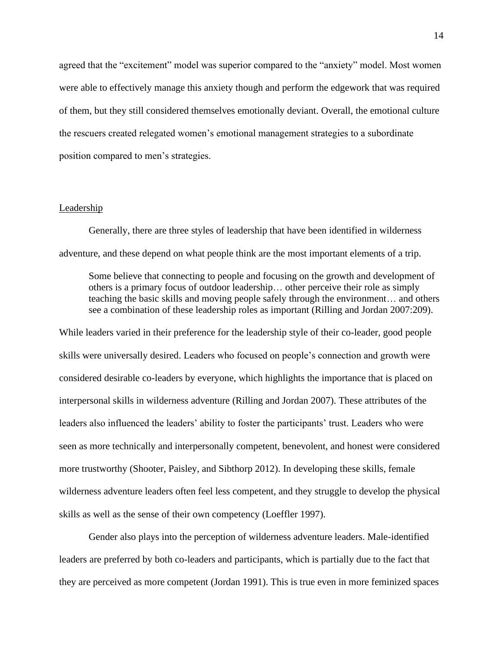agreed that the "excitement" model was superior compared to the "anxiety" model. Most women were able to effectively manage this anxiety though and perform the edgework that was required of them, but they still considered themselves emotionally deviant. Overall, the emotional culture the rescuers created relegated women's emotional management strategies to a subordinate position compared to men's strategies.

#### <span id="page-14-0"></span>Leadership

Generally, there are three styles of leadership that have been identified in wilderness adventure, and these depend on what people think are the most important elements of a trip.

Some believe that connecting to people and focusing on the growth and development of others is a primary focus of outdoor leadership… other perceive their role as simply teaching the basic skills and moving people safely through the environment… and others see a combination of these leadership roles as important (Rilling and Jordan 2007:209).

While leaders varied in their preference for the leadership style of their co-leader, good people skills were universally desired. Leaders who focused on people's connection and growth were considered desirable co-leaders by everyone, which highlights the importance that is placed on interpersonal skills in wilderness adventure (Rilling and Jordan 2007). These attributes of the leaders also influenced the leaders' ability to foster the participants' trust. Leaders who were seen as more technically and interpersonally competent, benevolent, and honest were considered more trustworthy (Shooter, Paisley, and Sibthorp 2012). In developing these skills, female wilderness adventure leaders often feel less competent, and they struggle to develop the physical skills as well as the sense of their own competency (Loeffler 1997).

Gender also plays into the perception of wilderness adventure leaders. Male-identified leaders are preferred by both co-leaders and participants, which is partially due to the fact that they are perceived as more competent (Jordan 1991). This is true even in more feminized spaces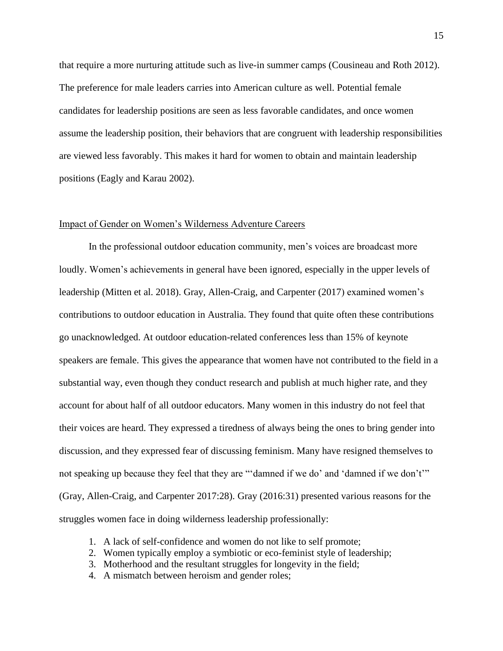that require a more nurturing attitude such as live-in summer camps (Cousineau and Roth 2012). The preference for male leaders carries into American culture as well. Potential female candidates for leadership positions are seen as less favorable candidates, and once women assume the leadership position, their behaviors that are congruent with leadership responsibilities are viewed less favorably. This makes it hard for women to obtain and maintain leadership positions (Eagly and Karau 2002).

#### <span id="page-15-0"></span>Impact of Gender on Women's Wilderness Adventure Careers

In the professional outdoor education community, men's voices are broadcast more loudly. Women's achievements in general have been ignored, especially in the upper levels of leadership (Mitten et al. 2018). Gray, Allen-Craig, and Carpenter (2017) examined women's contributions to outdoor education in Australia. They found that quite often these contributions go unacknowledged. At outdoor education-related conferences less than 15% of keynote speakers are female. This gives the appearance that women have not contributed to the field in a substantial way, even though they conduct research and publish at much higher rate, and they account for about half of all outdoor educators. Many women in this industry do not feel that their voices are heard. They expressed a tiredness of always being the ones to bring gender into discussion, and they expressed fear of discussing feminism. Many have resigned themselves to not speaking up because they feel that they are "'damned if we do' and 'damned if we don't'" (Gray, Allen-Craig, and Carpenter 2017:28). Gray (2016:31) presented various reasons for the struggles women face in doing wilderness leadership professionally:

- 1. A lack of self-confidence and women do not like to self promote;
- 2. Women typically employ a symbiotic or eco-feminist style of leadership;
- 3. Motherhood and the resultant struggles for longevity in the field;
- 4. A mismatch between heroism and gender roles;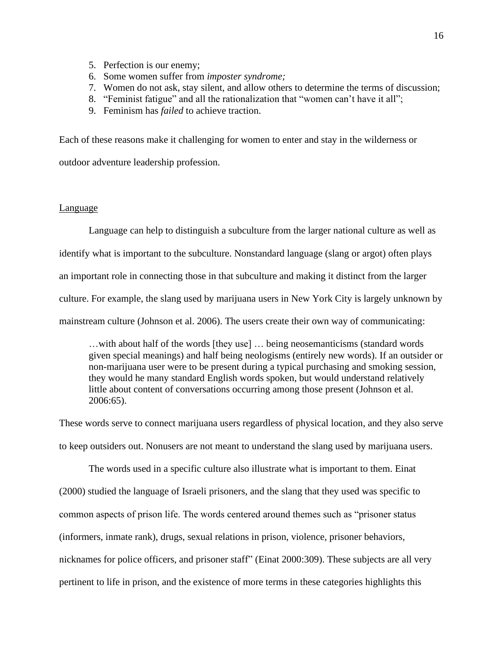- 5. Perfection is our enemy;
- 6. Some women suffer from *imposter syndrome;*
- 7. Women do not ask, stay silent, and allow others to determine the terms of discussion;
- 8. "Feminist fatigue" and all the rationalization that "women can't have it all";
- 9. Feminism has *failed* to achieve traction.

Each of these reasons make it challenging for women to enter and stay in the wilderness or

outdoor adventure leadership profession.

#### <span id="page-16-0"></span>Language

Language can help to distinguish a subculture from the larger national culture as well as identify what is important to the subculture. Nonstandard language (slang or argot) often plays an important role in connecting those in that subculture and making it distinct from the larger culture. For example, the slang used by marijuana users in New York City is largely unknown by mainstream culture (Johnson et al. 2006). The users create their own way of communicating:

…with about half of the words [they use] … being neosemanticisms (standard words given special meanings) and half being neologisms (entirely new words). If an outsider or non-marijuana user were to be present during a typical purchasing and smoking session, they would he many standard English words spoken, but would understand relatively little about content of conversations occurring among those present (Johnson et al. 2006:65).

These words serve to connect marijuana users regardless of physical location, and they also serve to keep outsiders out. Nonusers are not meant to understand the slang used by marijuana users.

The words used in a specific culture also illustrate what is important to them. Einat (2000) studied the language of Israeli prisoners, and the slang that they used was specific to common aspects of prison life. The words centered around themes such as "prisoner status (informers, inmate rank), drugs, sexual relations in prison, violence, prisoner behaviors, nicknames for police officers, and prisoner staff" (Einat 2000:309). These subjects are all very pertinent to life in prison, and the existence of more terms in these categories highlights this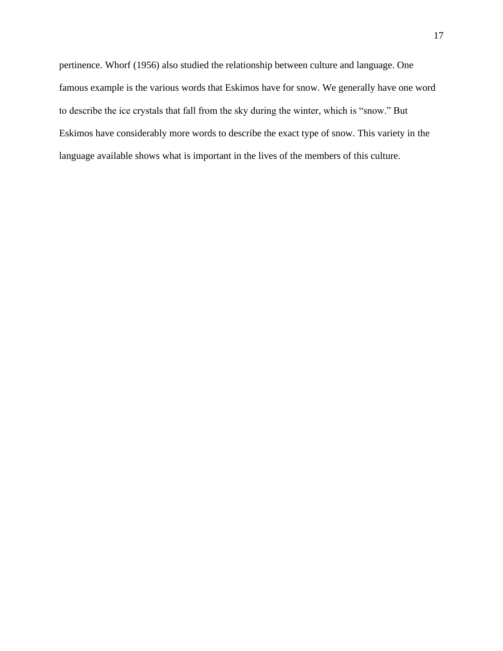pertinence. Whorf (1956) also studied the relationship between culture and language. One famous example is the various words that Eskimos have for snow. We generally have one word to describe the ice crystals that fall from the sky during the winter, which is "snow." But Eskimos have considerably more words to describe the exact type of snow. This variety in the language available shows what is important in the lives of the members of this culture.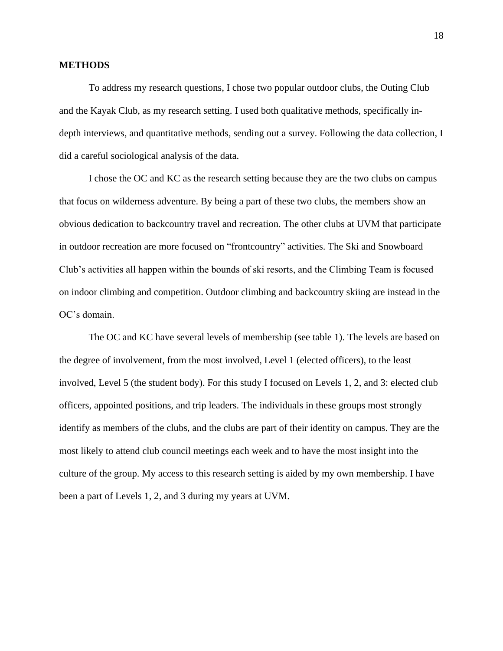## <span id="page-18-0"></span>**METHODS**

To address my research questions, I chose two popular outdoor clubs, the Outing Club and the Kayak Club, as my research setting. I used both qualitative methods, specifically indepth interviews, and quantitative methods, sending out a survey. Following the data collection, I did a careful sociological analysis of the data.

I chose the OC and KC as the research setting because they are the two clubs on campus that focus on wilderness adventure. By being a part of these two clubs, the members show an obvious dedication to backcountry travel and recreation. The other clubs at UVM that participate in outdoor recreation are more focused on "frontcountry" activities. The Ski and Snowboard Club's activities all happen within the bounds of ski resorts, and the Climbing Team is focused on indoor climbing and competition. Outdoor climbing and backcountry skiing are instead in the OC's domain.

The OC and KC have several levels of membership (see table 1). The levels are based on the degree of involvement, from the most involved, Level 1 (elected officers), to the least involved, Level 5 (the student body). For this study I focused on Levels 1, 2, and 3: elected club officers, appointed positions, and trip leaders. The individuals in these groups most strongly identify as members of the clubs, and the clubs are part of their identity on campus. They are the most likely to attend club council meetings each week and to have the most insight into the culture of the group. My access to this research setting is aided by my own membership. I have been a part of Levels 1, 2, and 3 during my years at UVM.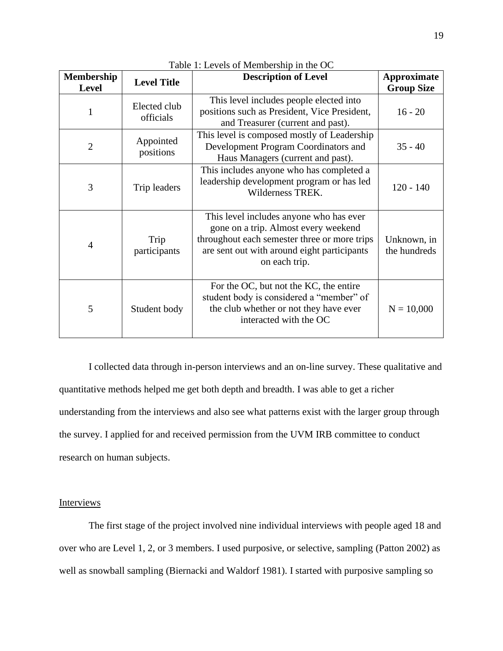<span id="page-19-1"></span>

| <b>Membership</b><br><b>Level</b> | <b>Level Title</b>        | <b>Description of Level</b>                                                                                                                                                                     | <b>Approximate</b><br><b>Group Size</b> |
|-----------------------------------|---------------------------|-------------------------------------------------------------------------------------------------------------------------------------------------------------------------------------------------|-----------------------------------------|
| 1                                 | Elected club<br>officials | This level includes people elected into<br>positions such as President, Vice President,<br>and Treasurer (current and past).                                                                    | $16 - 20$                               |
| $\overline{2}$                    | Appointed<br>positions    | This level is composed mostly of Leadership<br>Development Program Coordinators and<br>Haus Managers (current and past).                                                                        | $35 - 40$                               |
| 3                                 | Trip leaders              | This includes anyone who has completed a<br>leadership development program or has led<br>Wilderness TREK.                                                                                       | $120 - 140$                             |
| 4                                 | Trip<br>participants      | This level includes anyone who has ever<br>gone on a trip. Almost every weekend<br>throughout each semester three or more trips<br>are sent out with around eight participants<br>on each trip. | Unknown, in<br>the hundreds             |
| 5                                 | Student body              | For the OC, but not the KC, the entire<br>student body is considered a "member" of<br>the club whether or not they have ever<br>interacted with the OC                                          | $N = 10,000$                            |

Table 1: Levels of Membership in the OC

I collected data through in-person interviews and an on-line survey. These qualitative and quantitative methods helped me get both depth and breadth. I was able to get a richer understanding from the interviews and also see what patterns exist with the larger group through the survey. I applied for and received permission from the UVM IRB committee to conduct research on human subjects.

# <span id="page-19-0"></span>Interviews

The first stage of the project involved nine individual interviews with people aged 18 and over who are Level 1, 2, or 3 members. I used purposive, or selective, sampling (Patton 2002) as well as snowball sampling (Biernacki and Waldorf 1981). I started with purposive sampling so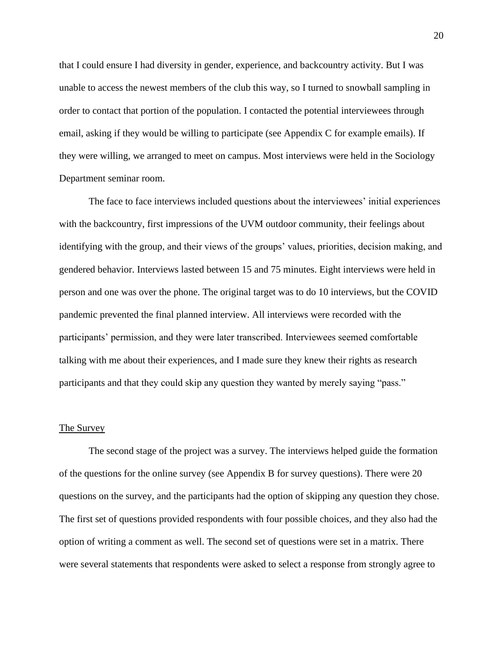that I could ensure I had diversity in gender, experience, and backcountry activity. But I was unable to access the newest members of the club this way, so I turned to snowball sampling in order to contact that portion of the population. I contacted the potential interviewees through email, asking if they would be willing to participate (see Appendix C for example emails). If they were willing, we arranged to meet on campus. Most interviews were held in the Sociology Department seminar room.

The face to face interviews included questions about the interviewees' initial experiences with the backcountry, first impressions of the UVM outdoor community, their feelings about identifying with the group, and their views of the groups' values, priorities, decision making, and gendered behavior. Interviews lasted between 15 and 75 minutes. Eight interviews were held in person and one was over the phone. The original target was to do 10 interviews, but the COVID pandemic prevented the final planned interview. All interviews were recorded with the participants' permission, and they were later transcribed. Interviewees seemed comfortable talking with me about their experiences, and I made sure they knew their rights as research participants and that they could skip any question they wanted by merely saying "pass."

#### <span id="page-20-0"></span>The Survey

The second stage of the project was a survey. The interviews helped guide the formation of the questions for the online survey (see Appendix B for survey questions). There were 20 questions on the survey, and the participants had the option of skipping any question they chose. The first set of questions provided respondents with four possible choices, and they also had the option of writing a comment as well. The second set of questions were set in a matrix. There were several statements that respondents were asked to select a response from strongly agree to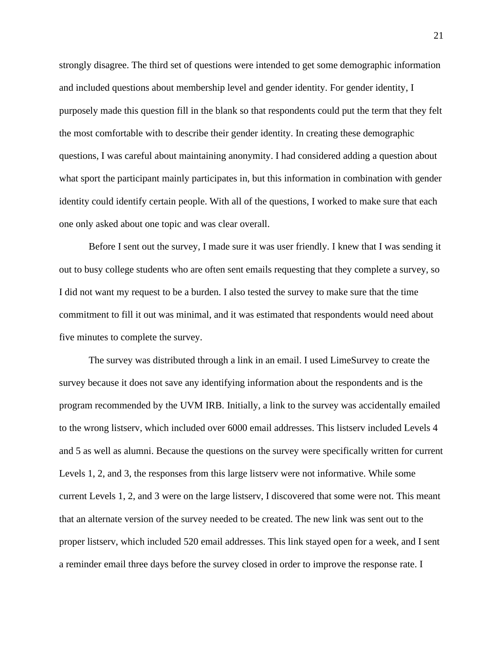strongly disagree. The third set of questions were intended to get some demographic information and included questions about membership level and gender identity. For gender identity, I purposely made this question fill in the blank so that respondents could put the term that they felt the most comfortable with to describe their gender identity. In creating these demographic questions, I was careful about maintaining anonymity. I had considered adding a question about what sport the participant mainly participates in, but this information in combination with gender identity could identify certain people. With all of the questions, I worked to make sure that each one only asked about one topic and was clear overall.

Before I sent out the survey, I made sure it was user friendly. I knew that I was sending it out to busy college students who are often sent emails requesting that they complete a survey, so I did not want my request to be a burden. I also tested the survey to make sure that the time commitment to fill it out was minimal, and it was estimated that respondents would need about five minutes to complete the survey.

The survey was distributed through a link in an email. I used LimeSurvey to create the survey because it does not save any identifying information about the respondents and is the program recommended by the UVM IRB. Initially, a link to the survey was accidentally emailed to the wrong listserv, which included over 6000 email addresses. This listserv included Levels 4 and 5 as well as alumni. Because the questions on the survey were specifically written for current Levels 1, 2, and 3, the responses from this large listserv were not informative. While some current Levels 1, 2, and 3 were on the large listserv, I discovered that some were not. This meant that an alternate version of the survey needed to be created. The new link was sent out to the proper listserv, which included 520 email addresses. This link stayed open for a week, and I sent a reminder email three days before the survey closed in order to improve the response rate. I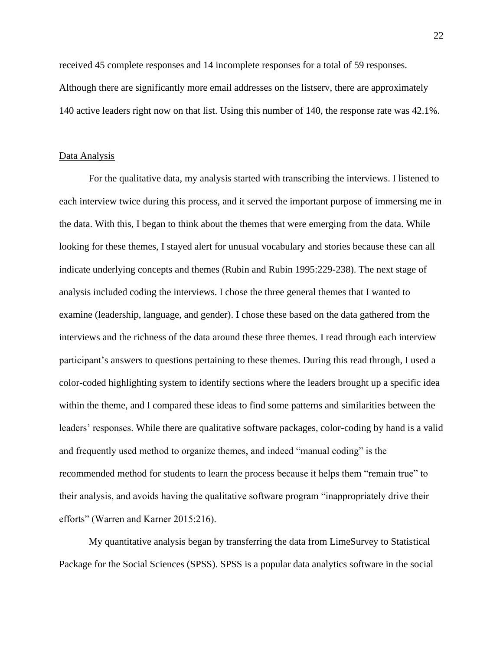received 45 complete responses and 14 incomplete responses for a total of 59 responses. Although there are significantly more email addresses on the listserv, there are approximately 140 active leaders right now on that list. Using this number of 140, the response rate was 42.1%.

#### <span id="page-22-0"></span>Data Analysis

For the qualitative data, my analysis started with transcribing the interviews. I listened to each interview twice during this process, and it served the important purpose of immersing me in the data. With this, I began to think about the themes that were emerging from the data. While looking for these themes, I stayed alert for unusual vocabulary and stories because these can all indicate underlying concepts and themes (Rubin and Rubin 1995:229-238). The next stage of analysis included coding the interviews. I chose the three general themes that I wanted to examine (leadership, language, and gender). I chose these based on the data gathered from the interviews and the richness of the data around these three themes. I read through each interview participant's answers to questions pertaining to these themes. During this read through, I used a color-coded highlighting system to identify sections where the leaders brought up a specific idea within the theme, and I compared these ideas to find some patterns and similarities between the leaders' responses. While there are qualitative software packages, color-coding by hand is a valid and frequently used method to organize themes, and indeed "manual coding" is the recommended method for students to learn the process because it helps them "remain true" to their analysis, and avoids having the qualitative software program "inappropriately drive their efforts" (Warren and Karner 2015:216).

My quantitative analysis began by transferring the data from LimeSurvey to Statistical Package for the Social Sciences (SPSS). SPSS is a popular data analytics software in the social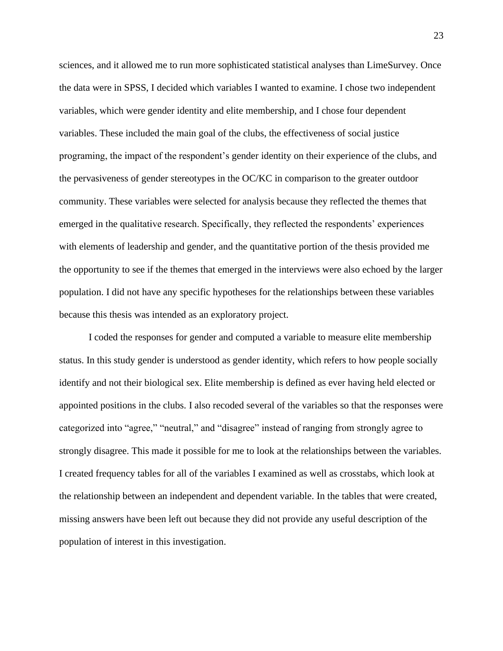sciences, and it allowed me to run more sophisticated statistical analyses than LimeSurvey. Once the data were in SPSS, I decided which variables I wanted to examine. I chose two independent variables, which were gender identity and elite membership, and I chose four dependent variables. These included the main goal of the clubs, the effectiveness of social justice programing, the impact of the respondent's gender identity on their experience of the clubs, and the pervasiveness of gender stereotypes in the OC/KC in comparison to the greater outdoor community. These variables were selected for analysis because they reflected the themes that emerged in the qualitative research. Specifically, they reflected the respondents' experiences with elements of leadership and gender, and the quantitative portion of the thesis provided me the opportunity to see if the themes that emerged in the interviews were also echoed by the larger population. I did not have any specific hypotheses for the relationships between these variables because this thesis was intended as an exploratory project.

I coded the responses for gender and computed a variable to measure elite membership status. In this study gender is understood as gender identity, which refers to how people socially identify and not their biological sex. Elite membership is defined as ever having held elected or appointed positions in the clubs. I also recoded several of the variables so that the responses were categorized into "agree," "neutral," and "disagree" instead of ranging from strongly agree to strongly disagree. This made it possible for me to look at the relationships between the variables. I created frequency tables for all of the variables I examined as well as crosstabs, which look at the relationship between an independent and dependent variable. In the tables that were created, missing answers have been left out because they did not provide any useful description of the population of interest in this investigation.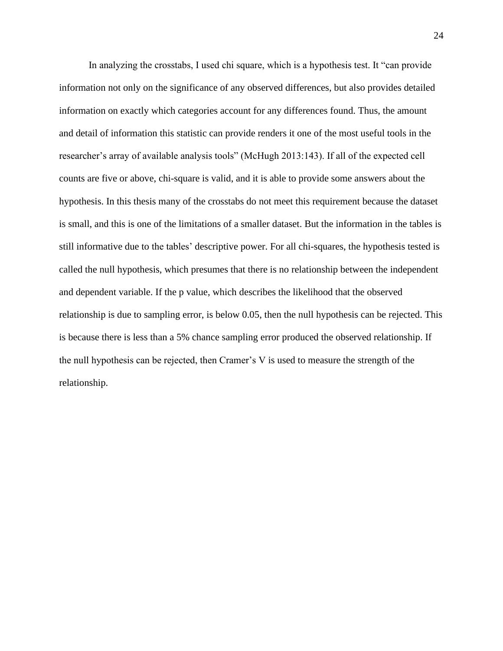In analyzing the crosstabs, I used chi square, which is a hypothesis test. It "can provide information not only on the significance of any observed differences, but also provides detailed information on exactly which categories account for any differences found. Thus, the amount and detail of information this statistic can provide renders it one of the most useful tools in the researcher's array of available analysis tools" (McHugh 2013:143). If all of the expected cell counts are five or above, chi-square is valid, and it is able to provide some answers about the hypothesis. In this thesis many of the crosstabs do not meet this requirement because the dataset is small, and this is one of the limitations of a smaller dataset. But the information in the tables is still informative due to the tables' descriptive power. For all chi-squares, the hypothesis tested is called the null hypothesis, which presumes that there is no relationship between the independent and dependent variable. If the p value, which describes the likelihood that the observed relationship is due to sampling error, is below 0.05, then the null hypothesis can be rejected. This is because there is less than a 5% chance sampling error produced the observed relationship. If the null hypothesis can be rejected, then Cramer's V is used to measure the strength of the relationship.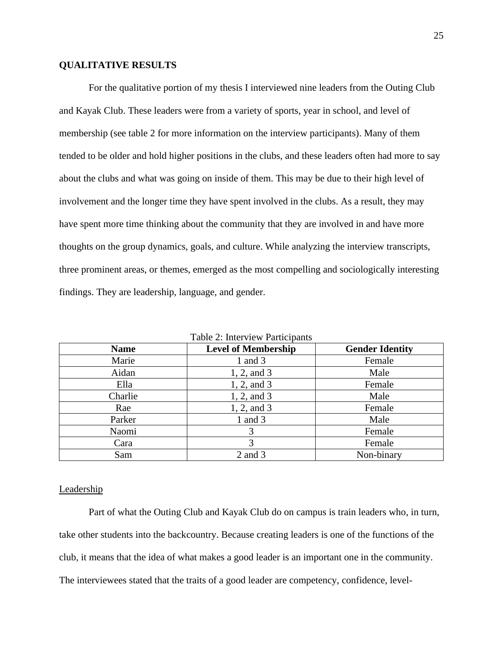## <span id="page-25-0"></span>**QUALITATIVE RESULTS**

For the qualitative portion of my thesis I interviewed nine leaders from the Outing Club and Kayak Club. These leaders were from a variety of sports, year in school, and level of membership (see table 2 for more information on the interview participants). Many of them tended to be older and hold higher positions in the clubs, and these leaders often had more to say about the clubs and what was going on inside of them. This may be due to their high level of involvement and the longer time they have spent involved in the clubs. As a result, they may have spent more time thinking about the community that they are involved in and have more thoughts on the group dynamics, goals, and culture. While analyzing the interview transcripts, three prominent areas, or themes, emerged as the most compelling and sociologically interesting findings. They are leadership, language, and gender.

<span id="page-25-2"></span>

| <b>Name</b> | <b>Level of Membership</b> | <b>Gender Identity</b> |
|-------------|----------------------------|------------------------|
| Marie       | 1 and 3                    | Female                 |
| Aidan       | 1, 2, and 3                | Male                   |
| Ella        | 1, 2, and 3                | Female                 |
| Charlie     | 1, 2, and 3                | Male                   |
| Rae         | 1, 2, and 3                | Female                 |
| Parker      | 1 and $3$                  | Male                   |
| Naomi       | 3                          | Female                 |
| Cara        |                            | Female                 |
| Sam         | 2 and 3                    | Non-binary             |

Table 2: Interview Participants

#### <span id="page-25-1"></span>**Leadership**

Part of what the Outing Club and Kayak Club do on campus is train leaders who, in turn, take other students into the backcountry. Because creating leaders is one of the functions of the club, it means that the idea of what makes a good leader is an important one in the community. The interviewees stated that the traits of a good leader are competency, confidence, level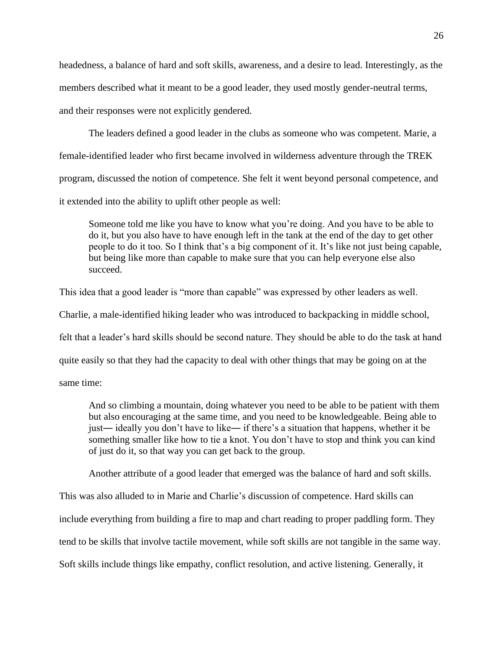headedness, a balance of hard and soft skills, awareness, and a desire to lead. Interestingly, as the members described what it meant to be a good leader, they used mostly gender-neutral terms, and their responses were not explicitly gendered.

The leaders defined a good leader in the clubs as someone who was competent. Marie, a female-identified leader who first became involved in wilderness adventure through the TREK program, discussed the notion of competence. She felt it went beyond personal competence, and it extended into the ability to uplift other people as well:

Someone told me like you have to know what you're doing. And you have to be able to do it, but you also have to have enough left in the tank at the end of the day to get other people to do it too. So I think that's a big component of it. It's like not just being capable, but being like more than capable to make sure that you can help everyone else also succeed.

This idea that a good leader is "more than capable" was expressed by other leaders as well.

Charlie, a male-identified hiking leader who was introduced to backpacking in middle school,

felt that a leader's hard skills should be second nature. They should be able to do the task at hand

quite easily so that they had the capacity to deal with other things that may be going on at the

same time:

And so climbing a mountain, doing whatever you need to be able to be patient with them but also encouraging at the same time, and you need to be knowledgeable. Being able to just― ideally you don't have to like― if there's a situation that happens, whether it be something smaller like how to tie a knot. You don't have to stop and think you can kind of just do it, so that way you can get back to the group.

Another attribute of a good leader that emerged was the balance of hard and soft skills.

This was also alluded to in Marie and Charlie's discussion of competence. Hard skills can include everything from building a fire to map and chart reading to proper paddling form. They tend to be skills that involve tactile movement, while soft skills are not tangible in the same way. Soft skills include things like empathy, conflict resolution, and active listening. Generally, it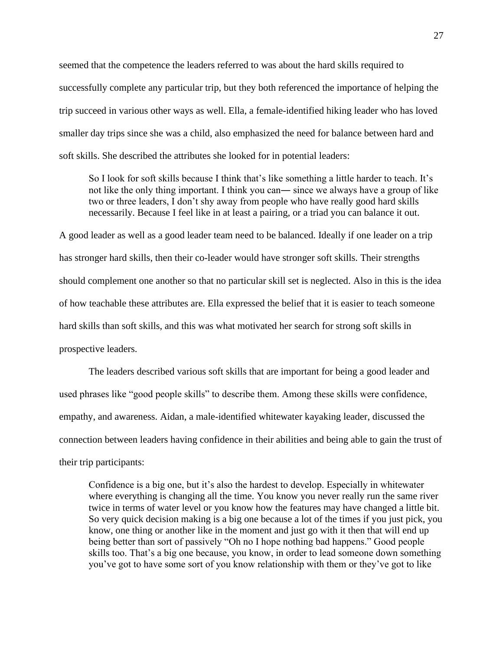seemed that the competence the leaders referred to was about the hard skills required to successfully complete any particular trip, but they both referenced the importance of helping the trip succeed in various other ways as well. Ella, a female-identified hiking leader who has loved smaller day trips since she was a child, also emphasized the need for balance between hard and soft skills. She described the attributes she looked for in potential leaders:

So I look for soft skills because I think that's like something a little harder to teach. It's not like the only thing important. I think you can― since we always have a group of like two or three leaders, I don't shy away from people who have really good hard skills necessarily. Because I feel like in at least a pairing, or a triad you can balance it out.

A good leader as well as a good leader team need to be balanced. Ideally if one leader on a trip has stronger hard skills, then their co-leader would have stronger soft skills. Their strengths should complement one another so that no particular skill set is neglected. Also in this is the idea of how teachable these attributes are. Ella expressed the belief that it is easier to teach someone hard skills than soft skills, and this was what motivated her search for strong soft skills in prospective leaders.

The leaders described various soft skills that are important for being a good leader and used phrases like "good people skills" to describe them. Among these skills were confidence, empathy, and awareness. Aidan, a male-identified whitewater kayaking leader, discussed the connection between leaders having confidence in their abilities and being able to gain the trust of their trip participants:

Confidence is a big one, but it's also the hardest to develop. Especially in whitewater where everything is changing all the time. You know you never really run the same river twice in terms of water level or you know how the features may have changed a little bit. So very quick decision making is a big one because a lot of the times if you just pick, you know, one thing or another like in the moment and just go with it then that will end up being better than sort of passively "Oh no I hope nothing bad happens." Good people skills too. That's a big one because, you know, in order to lead someone down something you've got to have some sort of you know relationship with them or they've got to like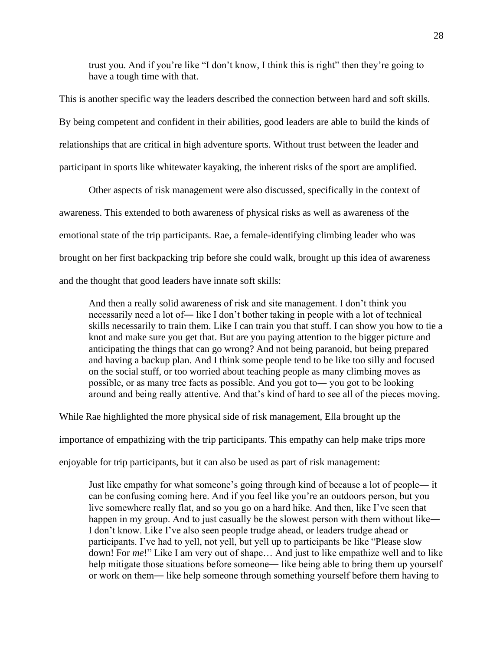trust you. And if you're like "I don't know, I think this is right" then they're going to have a tough time with that.

This is another specific way the leaders described the connection between hard and soft skills. By being competent and confident in their abilities, good leaders are able to build the kinds of relationships that are critical in high adventure sports. Without trust between the leader and participant in sports like whitewater kayaking, the inherent risks of the sport are amplified.

Other aspects of risk management were also discussed, specifically in the context of awareness. This extended to both awareness of physical risks as well as awareness of the emotional state of the trip participants. Rae, a female-identifying climbing leader who was brought on her first backpacking trip before she could walk, brought up this idea of awareness and the thought that good leaders have innate soft skills:

And then a really solid awareness of risk and site management. I don't think you necessarily need a lot of― like I don't bother taking in people with a lot of technical skills necessarily to train them. Like I can train you that stuff. I can show you how to tie a knot and make sure you get that. But are you paying attention to the bigger picture and anticipating the things that can go wrong? And not being paranoid, but being prepared and having a backup plan. And I think some people tend to be like too silly and focused on the social stuff, or too worried about teaching people as many climbing moves as possible, or as many tree facts as possible. And you got to― you got to be looking around and being really attentive. And that's kind of hard to see all of the pieces moving.

While Rae highlighted the more physical side of risk management, Ella brought up the

importance of empathizing with the trip participants. This empathy can help make trips more

enjoyable for trip participants, but it can also be used as part of risk management:

Just like empathy for what someone's going through kind of because a lot of people― it can be confusing coming here. And if you feel like you're an outdoors person, but you live somewhere really flat, and so you go on a hard hike. And then, like I've seen that happen in my group. And to just casually be the slowest person with them without like— I don't know. Like I've also seen people trudge ahead, or leaders trudge ahead or participants. I've had to yell, not yell, but yell up to participants be like "Please slow down! For *me*!" Like I am very out of shape… And just to like empathize well and to like help mitigate those situations before someone— like being able to bring them up yourself or work on them― like help someone through something yourself before them having to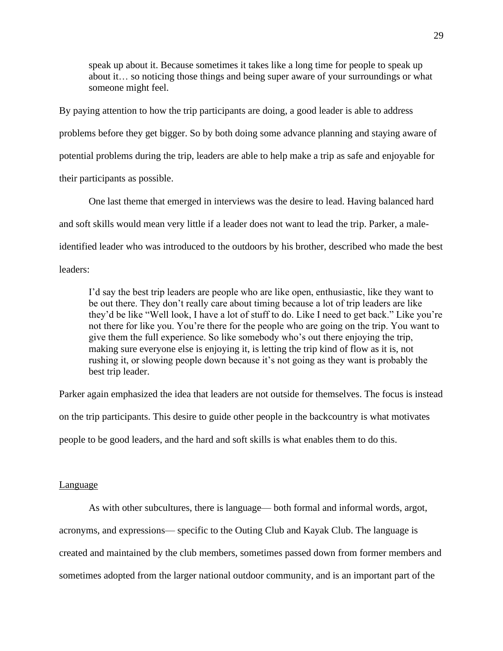speak up about it. Because sometimes it takes like a long time for people to speak up about it… so noticing those things and being super aware of your surroundings or what someone might feel.

By paying attention to how the trip participants are doing, a good leader is able to address problems before they get bigger. So by both doing some advance planning and staying aware of potential problems during the trip, leaders are able to help make a trip as safe and enjoyable for their participants as possible.

One last theme that emerged in interviews was the desire to lead. Having balanced hard and soft skills would mean very little if a leader does not want to lead the trip. Parker, a maleidentified leader who was introduced to the outdoors by his brother, described who made the best leaders:

I'd say the best trip leaders are people who are like open, enthusiastic, like they want to be out there. They don't really care about timing because a lot of trip leaders are like they'd be like "Well look, I have a lot of stuff to do. Like I need to get back." Like you're not there for like you. You're there for the people who are going on the trip. You want to give them the full experience. So like somebody who's out there enjoying the trip, making sure everyone else is enjoying it, is letting the trip kind of flow as it is, not rushing it, or slowing people down because it's not going as they want is probably the best trip leader.

Parker again emphasized the idea that leaders are not outside for themselves. The focus is instead on the trip participants. This desire to guide other people in the backcountry is what motivates people to be good leaders, and the hard and soft skills is what enables them to do this.

#### <span id="page-29-0"></span>Language

As with other subcultures, there is language— both formal and informal words, argot, acronyms, and expressions⸻ specific to the Outing Club and Kayak Club. The language is created and maintained by the club members, sometimes passed down from former members and sometimes adopted from the larger national outdoor community, and is an important part of the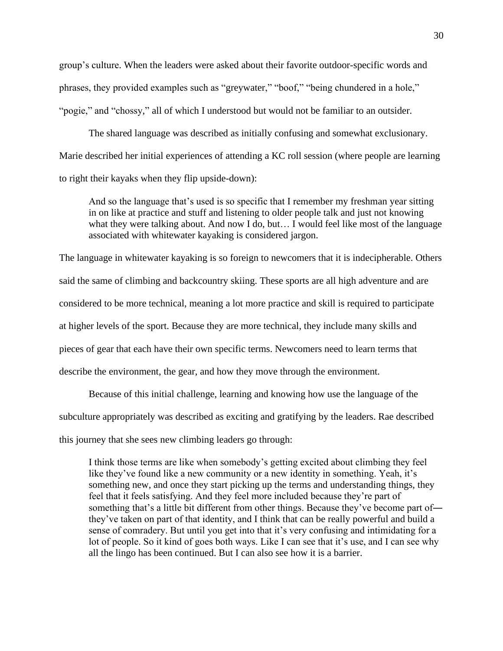group's culture. When the leaders were asked about their favorite outdoor-specific words and phrases, they provided examples such as "greywater," "boof," "being chundered in a hole," "pogie," and "chossy," all of which I understood but would not be familiar to an outsider.

The shared language was described as initially confusing and somewhat exclusionary. Marie described her initial experiences of attending a KC roll session (where people are learning to right their kayaks when they flip upside-down):

And so the language that's used is so specific that I remember my freshman year sitting in on like at practice and stuff and listening to older people talk and just not knowing what they were talking about. And now I do, but... I would feel like most of the language associated with whitewater kayaking is considered jargon.

The language in whitewater kayaking is so foreign to newcomers that it is indecipherable. Others said the same of climbing and backcountry skiing. These sports are all high adventure and are considered to be more technical, meaning a lot more practice and skill is required to participate at higher levels of the sport. Because they are more technical, they include many skills and pieces of gear that each have their own specific terms. Newcomers need to learn terms that describe the environment, the gear, and how they move through the environment.

Because of this initial challenge, learning and knowing how use the language of the subculture appropriately was described as exciting and gratifying by the leaders. Rae described this journey that she sees new climbing leaders go through:

I think those terms are like when somebody's getting excited about climbing they feel like they've found like a new community or a new identity in something. Yeah, it's something new, and once they start picking up the terms and understanding things, they feel that it feels satisfying. And they feel more included because they're part of something that's a little bit different from other things. Because they've become part of― they've taken on part of that identity, and I think that can be really powerful and build a sense of comradery. But until you get into that it's very confusing and intimidating for a lot of people. So it kind of goes both ways. Like I can see that it's use, and I can see why all the lingo has been continued. But I can also see how it is a barrier.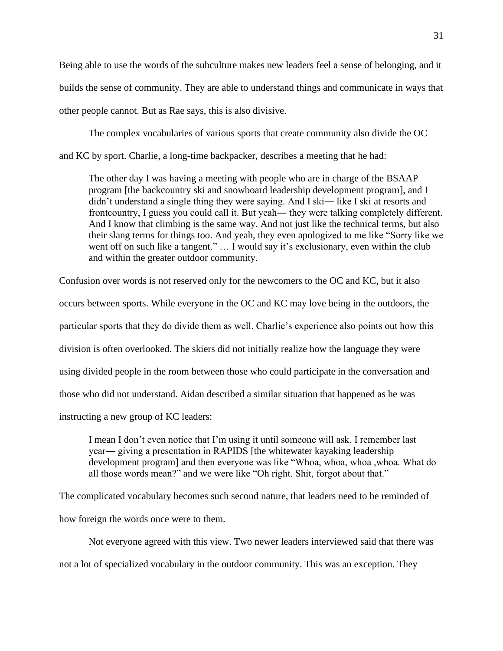Being able to use the words of the subculture makes new leaders feel a sense of belonging, and it builds the sense of community. They are able to understand things and communicate in ways that other people cannot. But as Rae says, this is also divisive.

The complex vocabularies of various sports that create community also divide the OC and KC by sport. Charlie, a long-time backpacker, describes a meeting that he had:

The other day I was having a meeting with people who are in charge of the BSAAP program [the backcountry ski and snowboard leadership development program], and I didn't understand a single thing they were saying. And I ski— like I ski at resorts and frontcountry, I guess you could call it. But yeah― they were talking completely different. And I know that climbing is the same way. And not just like the technical terms, but also their slang terms for things too. And yeah, they even apologized to me like "Sorry like we went off on such like a tangent." ... I would say it's exclusionary, even within the club and within the greater outdoor community.

Confusion over words is not reserved only for the newcomers to the OC and KC, but it also occurs between sports. While everyone in the OC and KC may love being in the outdoors, the particular sports that they do divide them as well. Charlie's experience also points out how this division is often overlooked. The skiers did not initially realize how the language they were using divided people in the room between those who could participate in the conversation and those who did not understand. Aidan described a similar situation that happened as he was instructing a new group of KC leaders:

I mean I don't even notice that I'm using it until someone will ask. I remember last year― giving a presentation in RAPIDS [the whitewater kayaking leadership development program] and then everyone was like "Whoa, whoa, whoa ,whoa. What do all those words mean?" and we were like "Oh right. Shit, forgot about that."

The complicated vocabulary becomes such second nature, that leaders need to be reminded of how foreign the words once were to them.

Not everyone agreed with this view. Two newer leaders interviewed said that there was not a lot of specialized vocabulary in the outdoor community. This was an exception. They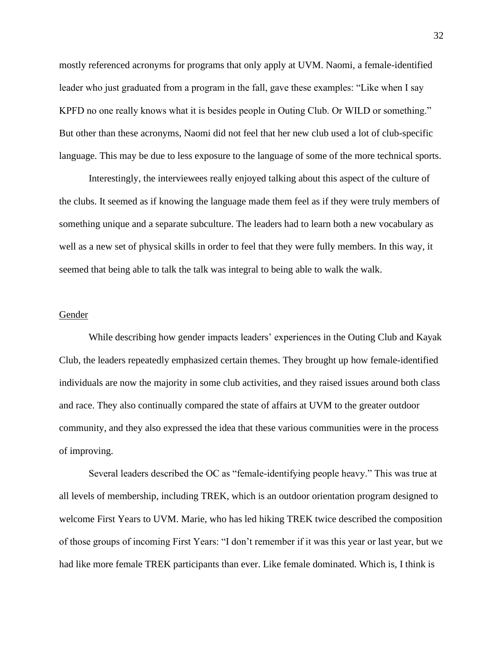mostly referenced acronyms for programs that only apply at UVM. Naomi, a female-identified leader who just graduated from a program in the fall, gave these examples: "Like when I say KPFD no one really knows what it is besides people in Outing Club. Or WILD or something." But other than these acronyms, Naomi did not feel that her new club used a lot of club-specific language. This may be due to less exposure to the language of some of the more technical sports.

Interestingly, the interviewees really enjoyed talking about this aspect of the culture of the clubs. It seemed as if knowing the language made them feel as if they were truly members of something unique and a separate subculture. The leaders had to learn both a new vocabulary as well as a new set of physical skills in order to feel that they were fully members. In this way, it seemed that being able to talk the talk was integral to being able to walk the walk.

#### <span id="page-32-0"></span>Gender

While describing how gender impacts leaders' experiences in the Outing Club and Kayak Club, the leaders repeatedly emphasized certain themes. They brought up how female-identified individuals are now the majority in some club activities, and they raised issues around both class and race. They also continually compared the state of affairs at UVM to the greater outdoor community, and they also expressed the idea that these various communities were in the process of improving.

Several leaders described the OC as "female-identifying people heavy." This was true at all levels of membership, including TREK, which is an outdoor orientation program designed to welcome First Years to UVM. Marie, who has led hiking TREK twice described the composition of those groups of incoming First Years: "I don't remember if it was this year or last year, but we had like more female TREK participants than ever. Like female dominated. Which is, I think is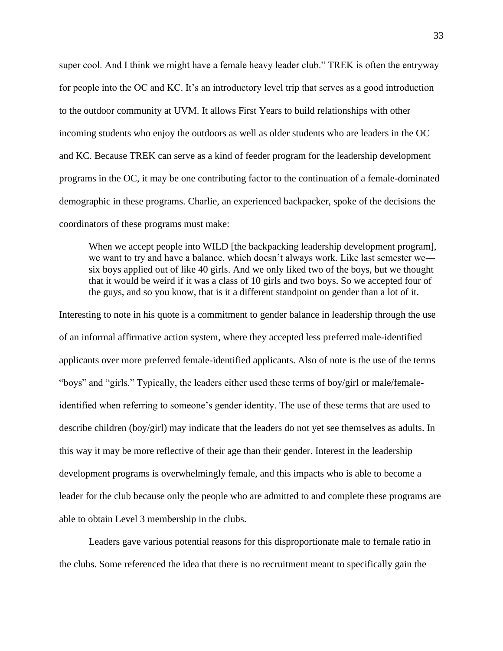super cool. And I think we might have a female heavy leader club." TREK is often the entryway for people into the OC and KC. It's an introductory level trip that serves as a good introduction to the outdoor community at UVM. It allows First Years to build relationships with other incoming students who enjoy the outdoors as well as older students who are leaders in the OC and KC. Because TREK can serve as a kind of feeder program for the leadership development programs in the OC, it may be one contributing factor to the continuation of a female-dominated demographic in these programs. Charlie, an experienced backpacker, spoke of the decisions the coordinators of these programs must make:

When we accept people into WILD [the backpacking leadership development program], we want to try and have a balance, which doesn't always work. Like last semester we― six boys applied out of like 40 girls. And we only liked two of the boys, but we thought that it would be weird if it was a class of 10 girls and two boys. So we accepted four of the guys, and so you know, that is it a different standpoint on gender than a lot of it.

Interesting to note in his quote is a commitment to gender balance in leadership through the use of an informal affirmative action system, where they accepted less preferred male-identified applicants over more preferred female-identified applicants. Also of note is the use of the terms "boys" and "girls." Typically, the leaders either used these terms of boy/girl or male/femaleidentified when referring to someone's gender identity. The use of these terms that are used to describe children (boy/girl) may indicate that the leaders do not yet see themselves as adults. In this way it may be more reflective of their age than their gender. Interest in the leadership development programs is overwhelmingly female, and this impacts who is able to become a leader for the club because only the people who are admitted to and complete these programs are able to obtain Level 3 membership in the clubs.

Leaders gave various potential reasons for this disproportionate male to female ratio in the clubs. Some referenced the idea that there is no recruitment meant to specifically gain the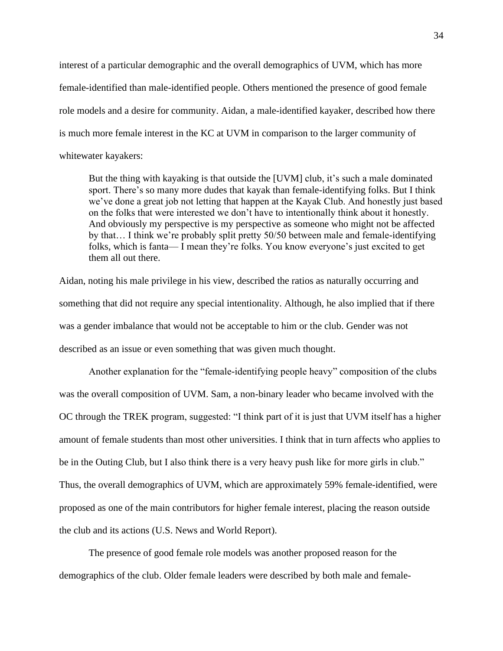interest of a particular demographic and the overall demographics of UVM, which has more female-identified than male-identified people. Others mentioned the presence of good female role models and a desire for community. Aidan, a male-identified kayaker, described how there is much more female interest in the KC at UVM in comparison to the larger community of whitewater kayakers:

But the thing with kayaking is that outside the [UVM] club, it's such a male dominated sport. There's so many more dudes that kayak than female-identifying folks. But I think we've done a great job not letting that happen at the Kayak Club. And honestly just based on the folks that were interested we don't have to intentionally think about it honestly. And obviously my perspective is my perspective as someone who might not be affected by that… I think we're probably split pretty 50/50 between male and female-identifying folks, which is fanta—I mean they're folks. You know everyone's just excited to get them all out there.

Aidan, noting his male privilege in his view, described the ratios as naturally occurring and something that did not require any special intentionality. Although, he also implied that if there was a gender imbalance that would not be acceptable to him or the club. Gender was not described as an issue or even something that was given much thought.

Another explanation for the "female-identifying people heavy" composition of the clubs was the overall composition of UVM. Sam, a non-binary leader who became involved with the OC through the TREK program, suggested: "I think part of it is just that UVM itself has a higher amount of female students than most other universities. I think that in turn affects who applies to be in the Outing Club, but I also think there is a very heavy push like for more girls in club." Thus, the overall demographics of UVM, which are approximately 59% female-identified, were proposed as one of the main contributors for higher female interest, placing the reason outside the club and its actions (U.S. News and World Report).

The presence of good female role models was another proposed reason for the demographics of the club. Older female leaders were described by both male and female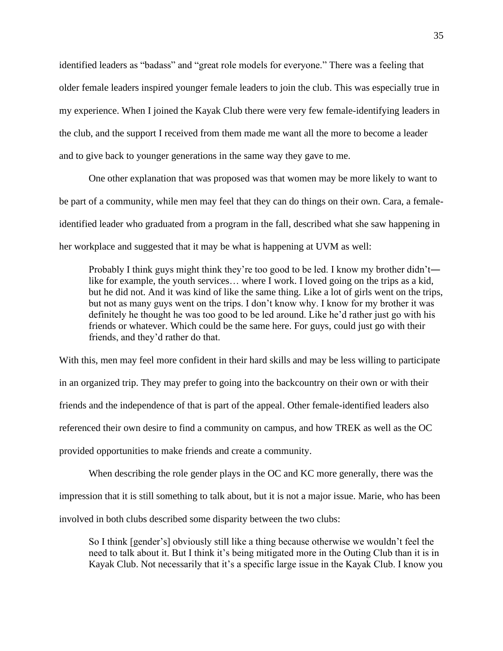identified leaders as "badass" and "great role models for everyone." There was a feeling that older female leaders inspired younger female leaders to join the club. This was especially true in my experience. When I joined the Kayak Club there were very few female-identifying leaders in the club, and the support I received from them made me want all the more to become a leader and to give back to younger generations in the same way they gave to me.

One other explanation that was proposed was that women may be more likely to want to be part of a community, while men may feel that they can do things on their own. Cara, a femaleidentified leader who graduated from a program in the fall, described what she saw happening in her workplace and suggested that it may be what is happening at UVM as well:

Probably I think guys might think they're too good to be led. I know my brother didn't― like for example, the youth services… where I work. I loved going on the trips as a kid, but he did not. And it was kind of like the same thing. Like a lot of girls went on the trips, but not as many guys went on the trips. I don't know why. I know for my brother it was definitely he thought he was too good to be led around. Like he'd rather just go with his friends or whatever. Which could be the same here. For guys, could just go with their friends, and they'd rather do that.

With this, men may feel more confident in their hard skills and may be less willing to participate in an organized trip. They may prefer to going into the backcountry on their own or with their friends and the independence of that is part of the appeal. Other female-identified leaders also referenced their own desire to find a community on campus, and how TREK as well as the OC provided opportunities to make friends and create a community.

When describing the role gender plays in the OC and KC more generally, there was the impression that it is still something to talk about, but it is not a major issue. Marie, who has been involved in both clubs described some disparity between the two clubs:

So I think [gender's] obviously still like a thing because otherwise we wouldn't feel the need to talk about it. But I think it's being mitigated more in the Outing Club than it is in Kayak Club. Not necessarily that it's a specific large issue in the Kayak Club. I know you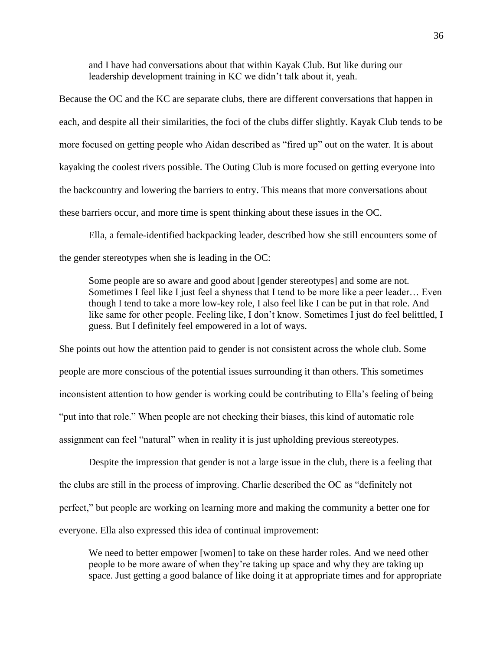and I have had conversations about that within Kayak Club. But like during our leadership development training in KC we didn't talk about it, yeah.

Because the OC and the KC are separate clubs, there are different conversations that happen in each, and despite all their similarities, the foci of the clubs differ slightly. Kayak Club tends to be more focused on getting people who Aidan described as "fired up" out on the water. It is about kayaking the coolest rivers possible. The Outing Club is more focused on getting everyone into the backcountry and lowering the barriers to entry. This means that more conversations about these barriers occur, and more time is spent thinking about these issues in the OC.

Ella, a female-identified backpacking leader, described how she still encounters some of the gender stereotypes when she is leading in the OC:

Some people are so aware and good about [gender stereotypes] and some are not. Sometimes I feel like I just feel a shyness that I tend to be more like a peer leader… Even though I tend to take a more low-key role, I also feel like I can be put in that role. And like same for other people. Feeling like, I don't know. Sometimes I just do feel belittled, I guess. But I definitely feel empowered in a lot of ways.

She points out how the attention paid to gender is not consistent across the whole club. Some people are more conscious of the potential issues surrounding it than others. This sometimes inconsistent attention to how gender is working could be contributing to Ella's feeling of being "put into that role." When people are not checking their biases, this kind of automatic role assignment can feel "natural" when in reality it is just upholding previous stereotypes.

Despite the impression that gender is not a large issue in the club, there is a feeling that the clubs are still in the process of improving. Charlie described the OC as "definitely not perfect," but people are working on learning more and making the community a better one for everyone. Ella also expressed this idea of continual improvement:

We need to better empower [women] to take on these harder roles. And we need other people to be more aware of when they're taking up space and why they are taking up space. Just getting a good balance of like doing it at appropriate times and for appropriate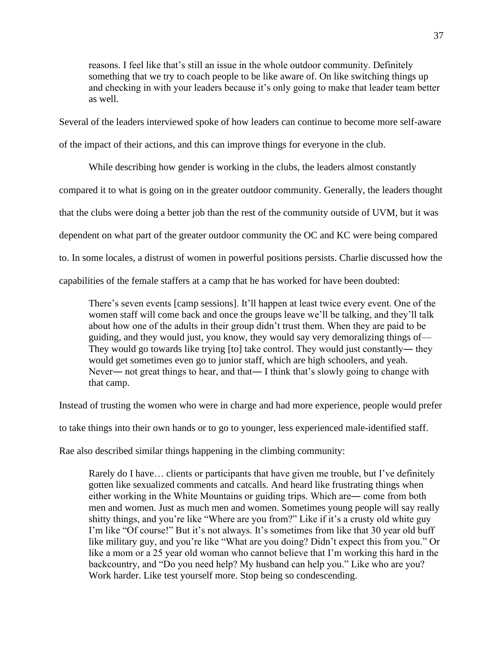reasons. I feel like that's still an issue in the whole outdoor community. Definitely something that we try to coach people to be like aware of. On like switching things up and checking in with your leaders because it's only going to make that leader team better as well.

Several of the leaders interviewed spoke of how leaders can continue to become more self-aware

of the impact of their actions, and this can improve things for everyone in the club.

While describing how gender is working in the clubs, the leaders almost constantly compared it to what is going on in the greater outdoor community. Generally, the leaders thought that the clubs were doing a better job than the rest of the community outside of UVM, but it was dependent on what part of the greater outdoor community the OC and KC were being compared to. In some locales, a distrust of women in powerful positions persists. Charlie discussed how the capabilities of the female staffers at a camp that he has worked for have been doubted:

There's seven events [camp sessions]. It'll happen at least twice every event. One of the women staff will come back and once the groups leave we'll be talking, and they'll talk about how one of the adults in their group didn't trust them. When they are paid to be guiding, and they would just, you know, they would say very demoralizing things of⸻ They would go towards like trying [to] take control. They would just constantly— they would get sometimes even go to junior staff, which are high schoolers, and yeah. Never— not great things to hear, and that— I think that's slowly going to change with that camp.

Instead of trusting the women who were in charge and had more experience, people would prefer

to take things into their own hands or to go to younger, less experienced male-identified staff.

Rae also described similar things happening in the climbing community:

Rarely do I have… clients or participants that have given me trouble, but I've definitely gotten like sexualized comments and catcalls. And heard like frustrating things when either working in the White Mountains or guiding trips. Which are― come from both men and women. Just as much men and women. Sometimes young people will say really shitty things, and you're like "Where are you from?" Like if it's a crusty old white guy I'm like "Of course!" But it's not always. It's sometimes from like that 30 year old buff like military guy, and you're like "What are you doing? Didn't expect this from you." Or like a mom or a 25 year old woman who cannot believe that I'm working this hard in the backcountry, and "Do you need help? My husband can help you." Like who are you? Work harder. Like test yourself more. Stop being so condescending.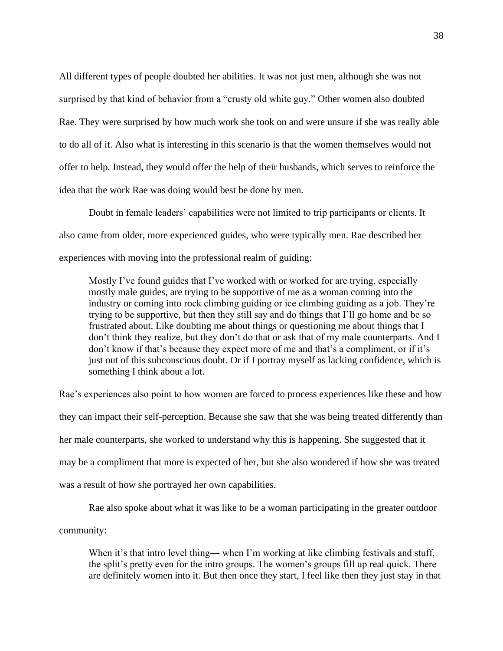All different types of people doubted her abilities. It was not just men, although she was not surprised by that kind of behavior from a "crusty old white guy." Other women also doubted Rae. They were surprised by how much work she took on and were unsure if she was really able to do all of it. Also what is interesting in this scenario is that the women themselves would not offer to help. Instead, they would offer the help of their husbands, which serves to reinforce the idea that the work Rae was doing would best be done by men.

Doubt in female leaders' capabilities were not limited to trip participants or clients. It also came from older, more experienced guides, who were typically men. Rae described her experiences with moving into the professional realm of guiding:

Mostly I've found guides that I've worked with or worked for are trying, especially mostly male guides, are trying to be supportive of me as a woman coming into the industry or coming into rock climbing guiding or ice climbing guiding as a job. They're trying to be supportive, but then they still say and do things that I'll go home and be so frustrated about. Like doubting me about things or questioning me about things that I don't think they realize, but they don't do that or ask that of my male counterparts. And I don't know if that's because they expect more of me and that's a compliment, or if it's just out of this subconscious doubt. Or if I portray myself as lacking confidence, which is something I think about a lot.

Rae's experiences also point to how women are forced to process experiences like these and how they can impact their self-perception. Because she saw that she was being treated differently than her male counterparts, she worked to understand why this is happening. She suggested that it may be a compliment that more is expected of her, but she also wondered if how she was treated was a result of how she portrayed her own capabilities.

Rae also spoke about what it was like to be a woman participating in the greater outdoor community:

When it's that intro level thing— when I'm working at like climbing festivals and stuff, the split's pretty even for the intro groups. The women's groups fill up real quick. There are definitely women into it. But then once they start, I feel like then they just stay in that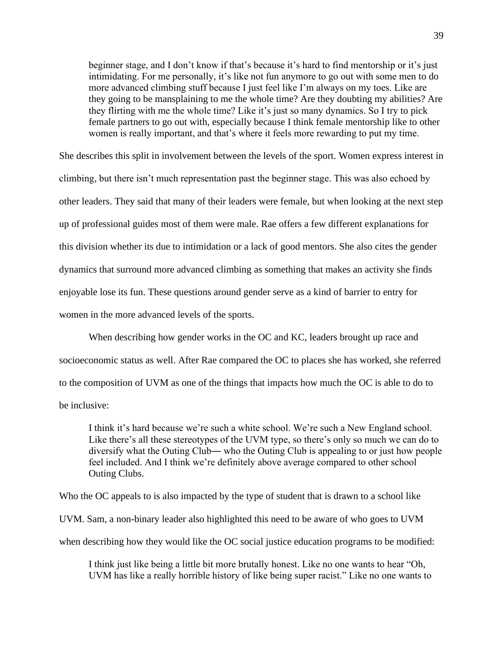beginner stage, and I don't know if that's because it's hard to find mentorship or it's just intimidating. For me personally, it's like not fun anymore to go out with some men to do more advanced climbing stuff because I just feel like I'm always on my toes. Like are they going to be mansplaining to me the whole time? Are they doubting my abilities? Are they flirting with me the whole time? Like it's just so many dynamics. So I try to pick female partners to go out with, especially because I think female mentorship like to other women is really important, and that's where it feels more rewarding to put my time.

She describes this split in involvement between the levels of the sport. Women express interest in climbing, but there isn't much representation past the beginner stage. This was also echoed by other leaders. They said that many of their leaders were female, but when looking at the next step up of professional guides most of them were male. Rae offers a few different explanations for this division whether its due to intimidation or a lack of good mentors. She also cites the gender dynamics that surround more advanced climbing as something that makes an activity she finds enjoyable lose its fun. These questions around gender serve as a kind of barrier to entry for women in the more advanced levels of the sports.

When describing how gender works in the OC and KC, leaders brought up race and socioeconomic status as well. After Rae compared the OC to places she has worked, she referred to the composition of UVM as one of the things that impacts how much the OC is able to do to be inclusive:

I think it's hard because we're such a white school. We're such a New England school. Like there's all these stereotypes of the UVM type, so there's only so much we can do to diversify what the Outing Club― who the Outing Club is appealing to or just how people feel included. And I think we're definitely above average compared to other school Outing Clubs.

Who the OC appeals to is also impacted by the type of student that is drawn to a school like UVM. Sam, a non-binary leader also highlighted this need to be aware of who goes to UVM when describing how they would like the OC social justice education programs to be modified:

I think just like being a little bit more brutally honest. Like no one wants to hear "Oh, UVM has like a really horrible history of like being super racist." Like no one wants to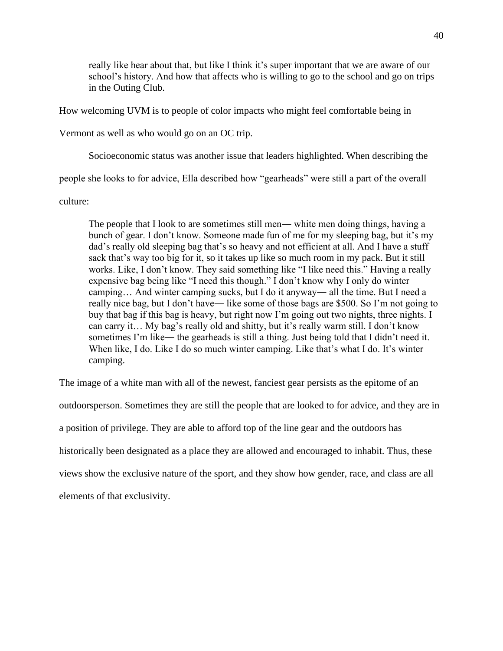really like hear about that, but like I think it's super important that we are aware of our school's history. And how that affects who is willing to go to the school and go on trips in the Outing Club.

How welcoming UVM is to people of color impacts who might feel comfortable being in

Vermont as well as who would go on an OC trip.

Socioeconomic status was another issue that leaders highlighted. When describing the

people she looks to for advice, Ella described how "gearheads" were still a part of the overall

culture:

The people that I look to are sometimes still men— white men doing things, having a bunch of gear. I don't know. Someone made fun of me for my sleeping bag, but it's my dad's really old sleeping bag that's so heavy and not efficient at all. And I have a stuff sack that's way too big for it, so it takes up like so much room in my pack. But it still works. Like, I don't know. They said something like "I like need this." Having a really expensive bag being like "I need this though." I don't know why I only do winter camping… And winter camping sucks, but I do it anyway― all the time. But I need a really nice bag, but I don't have― like some of those bags are \$500. So I'm not going to buy that bag if this bag is heavy, but right now I'm going out two nights, three nights. I can carry it… My bag's really old and shitty, but it's really warm still. I don't know sometimes I'm like— the gearheads is still a thing. Just being told that I didn't need it. When like, I do. Like I do so much winter camping. Like that's what I do. It's winter camping.

The image of a white man with all of the newest, fanciest gear persists as the epitome of an outdoorsperson. Sometimes they are still the people that are looked to for advice, and they are in a position of privilege. They are able to afford top of the line gear and the outdoors has historically been designated as a place they are allowed and encouraged to inhabit. Thus, these views show the exclusive nature of the sport, and they show how gender, race, and class are all elements of that exclusivity.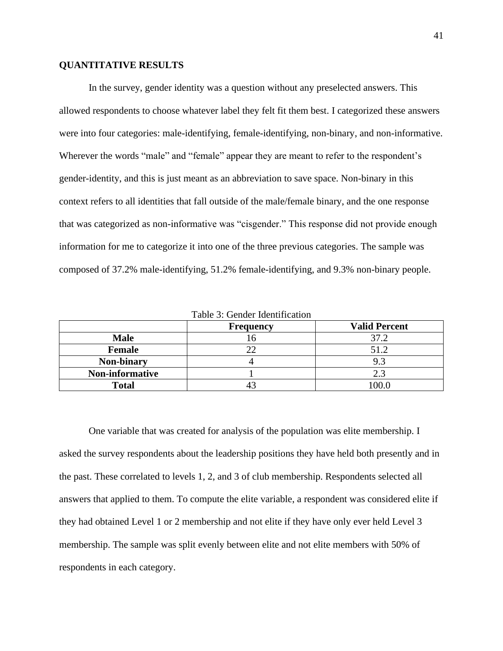### **QUANTITATIVE RESULTS**

In the survey, gender identity was a question without any preselected answers. This allowed respondents to choose whatever label they felt fit them best. I categorized these answers were into four categories: male-identifying, female-identifying, non-binary, and non-informative. Wherever the words "male" and "female" appear they are meant to refer to the respondent's gender-identity, and this is just meant as an abbreviation to save space. Non-binary in this context refers to all identities that fall outside of the male/female binary, and the one response that was categorized as non-informative was "cisgender." This response did not provide enough information for me to categorize it into one of the three previous categories. The sample was composed of 37.2% male-identifying, 51.2% female-identifying, and 9.3% non-binary people.

|                 | <b>Frequency</b> | <b>Valid Percent</b> |  |  |
|-----------------|------------------|----------------------|--|--|
| <b>Male</b>     |                  | 37.2                 |  |  |
| Female          |                  | 51.2                 |  |  |
| Non-binary      |                  | 9.3                  |  |  |
| Non-informative |                  | 2.3                  |  |  |
| <b>Total</b>    |                  | 0.00                 |  |  |

Table 3: Gender Identification

One variable that was created for analysis of the population was elite membership. I asked the survey respondents about the leadership positions they have held both presently and in the past. These correlated to levels 1, 2, and 3 of club membership. Respondents selected all answers that applied to them. To compute the elite variable, a respondent was considered elite if they had obtained Level 1 or 2 membership and not elite if they have only ever held Level 3 membership. The sample was split evenly between elite and not elite members with 50% of respondents in each category.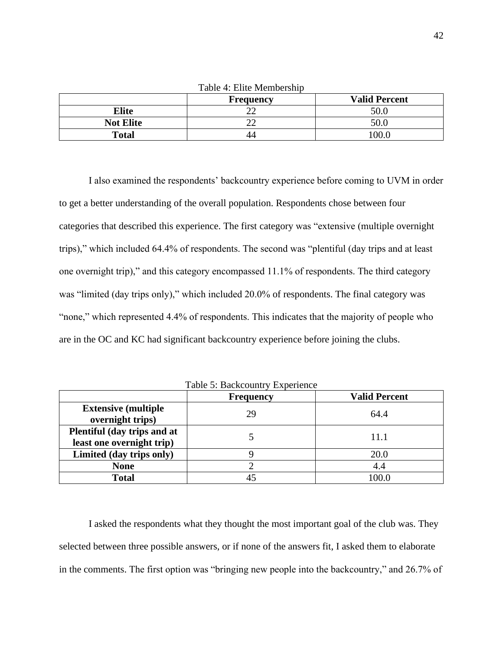| Table 4: Elite Membership         |  |       |  |  |
|-----------------------------------|--|-------|--|--|
| <b>Valid Percent</b><br>Frequency |  |       |  |  |
| <b>Elite</b>                      |  | 50.0  |  |  |
| <b>Not Elite</b>                  |  | 50.0  |  |  |
| <b>Total</b>                      |  | 0.001 |  |  |

I also examined the respondents' backcountry experience before coming to UVM in order to get a better understanding of the overall population. Respondents chose between four categories that described this experience. The first category was "extensive (multiple overnight trips)," which included 64.4% of respondents. The second was "plentiful (day trips and at least one overnight trip)," and this category encompassed 11.1% of respondents. The third category was "limited (day trips only)," which included 20.0% of respondents. The final category was "none," which represented 4.4% of respondents. This indicates that the majority of people who are in the OC and KC had significant backcountry experience before joining the clubs.

|                                                          | <b>Frequency</b> | <b>Valid Percent</b> |
|----------------------------------------------------------|------------------|----------------------|
| <b>Extensive (multiple)</b><br>overnight trips)          | 29               | 64.4                 |
| Plentiful (day trips and at<br>least one overnight trip) |                  | 11.1                 |
| Limited (day trips only)                                 |                  | 20.0                 |
| <b>None</b>                                              |                  | 4.4                  |
| <b>Total</b>                                             |                  | 100.0                |

Table 5: Backcountry Experience

I asked the respondents what they thought the most important goal of the club was. They selected between three possible answers, or if none of the answers fit, I asked them to elaborate in the comments. The first option was "bringing new people into the backcountry," and 26.7% of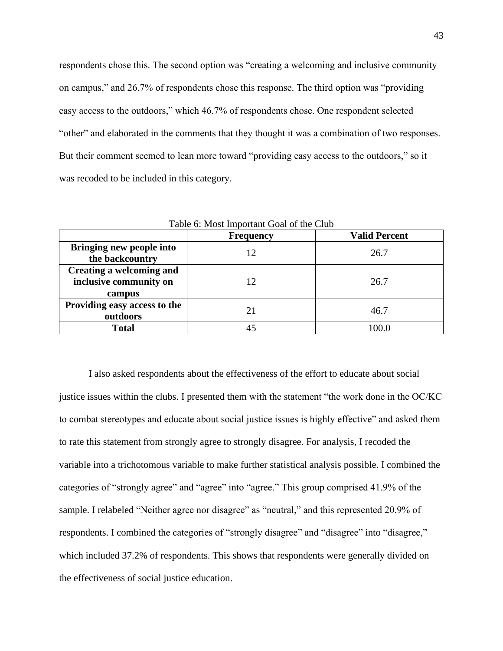respondents chose this. The second option was "creating a welcoming and inclusive community on campus," and 26.7% of respondents chose this response. The third option was "providing easy access to the outdoors," which 46.7% of respondents chose. One respondent selected "other" and elaborated in the comments that they thought it was a combination of two responses. But their comment seemed to lean more toward "providing easy access to the outdoors," so it was recoded to be included in this category.

| <b>Valid Percent</b><br><b>Frequency</b>                     |    |       |  |
|--------------------------------------------------------------|----|-------|--|
| Bringing new people into<br>the backcountry                  | 12 | 26.7  |  |
| Creating a welcoming and<br>inclusive community on<br>campus | 12 | 26.7  |  |
| Providing easy access to the<br>outdoors                     | 21 | 46.7  |  |
| <b>Total</b>                                                 |    | 100.0 |  |

Table 6: Most Important Goal of the Club

I also asked respondents about the effectiveness of the effort to educate about social justice issues within the clubs. I presented them with the statement "the work done in the OC/KC to combat stereotypes and educate about social justice issues is highly effective" and asked them to rate this statement from strongly agree to strongly disagree. For analysis, I recoded the variable into a trichotomous variable to make further statistical analysis possible. I combined the categories of "strongly agree" and "agree" into "agree." This group comprised 41.9% of the sample. I relabeled "Neither agree nor disagree" as "neutral," and this represented 20.9% of respondents. I combined the categories of "strongly disagree" and "disagree" into "disagree," which included 37.2% of respondents. This shows that respondents were generally divided on the effectiveness of social justice education.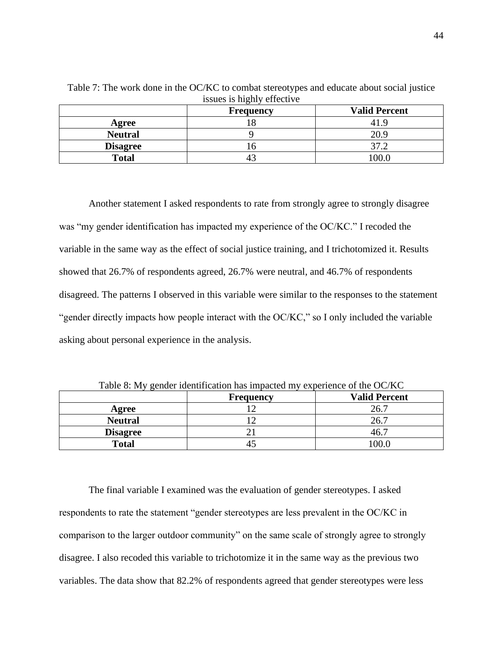|                 | $\sim$<br>Frequency | <b>Valid Percent</b> |
|-----------------|---------------------|----------------------|
| Agree           |                     | 41.9                 |
| <b>Neutral</b>  |                     | 20.9                 |
| <b>Disagree</b> |                     | つワ                   |
| <b>Total</b>    |                     | 0.00                 |

Table 7: The work done in the OC/KC to combat stereotypes and educate about social justice issues is highly effective

Another statement I asked respondents to rate from strongly agree to strongly disagree was "my gender identification has impacted my experience of the OC/KC." I recoded the variable in the same way as the effect of social justice training, and I trichotomized it. Results showed that 26.7% of respondents agreed, 26.7% were neutral, and 46.7% of respondents disagreed. The patterns I observed in this variable were similar to the responses to the statement "gender directly impacts how people interact with the OC/KC," so I only included the variable asking about personal experience in the analysis.

| $= 40.44$       |                  |                      |  |  |
|-----------------|------------------|----------------------|--|--|
|                 | <b>Frequency</b> | <b>Valid Percent</b> |  |  |
| Agree           |                  | 26.7                 |  |  |
| <b>Neutral</b>  |                  | 26.7                 |  |  |
| <b>Disagree</b> |                  | 46.                  |  |  |
| <b>Total</b>    |                  | 00.0                 |  |  |

Table 8: My gender identification has impacted my experience of the OC/KC

The final variable I examined was the evaluation of gender stereotypes. I asked respondents to rate the statement "gender stereotypes are less prevalent in the OC/KC in comparison to the larger outdoor community" on the same scale of strongly agree to strongly disagree. I also recoded this variable to trichotomize it in the same way as the previous two variables. The data show that 82.2% of respondents agreed that gender stereotypes were less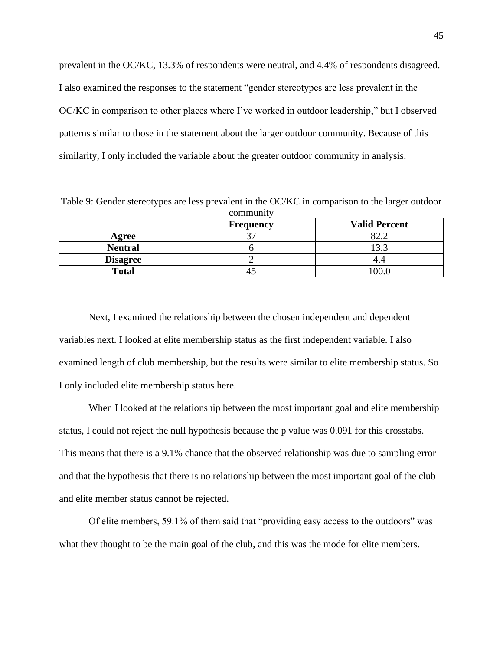prevalent in the OC/KC, 13.3% of respondents were neutral, and 4.4% of respondents disagreed. I also examined the responses to the statement "gender stereotypes are less prevalent in the OC/KC in comparison to other places where I've worked in outdoor leadership," but I observed patterns similar to those in the statement about the larger outdoor community. Because of this similarity, I only included the variable about the greater outdoor community in analysis.

Table 9: Gender stereotypes are less prevalent in the OC/KC in comparison to the larger outdoor community

|                 | <b>Frequency</b> | <b>Valid Percent</b> |
|-----------------|------------------|----------------------|
| Agree           | $\cap$           | $\Omega$ າາ          |
| <b>Neutral</b>  |                  | 13.3                 |
| <b>Disagree</b> |                  |                      |
| <b>Total</b>    |                  | 100.0                |

Next, I examined the relationship between the chosen independent and dependent variables next. I looked at elite membership status as the first independent variable. I also examined length of club membership, but the results were similar to elite membership status. So I only included elite membership status here.

When I looked at the relationship between the most important goal and elite membership status, I could not reject the null hypothesis because the p value was 0.091 for this crosstabs. This means that there is a 9.1% chance that the observed relationship was due to sampling error and that the hypothesis that there is no relationship between the most important goal of the club and elite member status cannot be rejected.

Of elite members, 59.1% of them said that "providing easy access to the outdoors" was what they thought to be the main goal of the club, and this was the mode for elite members.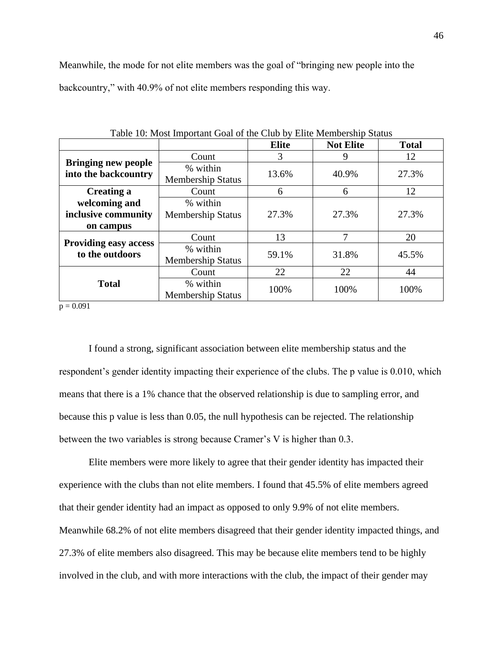Meanwhile, the mode for not elite members was the goal of "bringing new people into the backcountry," with 40.9% of not elite members responding this way.

| Table To, Most Important Goal of the Club by Emic Memocramp Dianas |                                      |              |                  |              |
|--------------------------------------------------------------------|--------------------------------------|--------------|------------------|--------------|
|                                                                    |                                      | <b>Elite</b> | <b>Not Elite</b> | <b>Total</b> |
|                                                                    | Count                                | 3            | 9                | 12           |
| <b>Bringing new people</b><br>into the backcountry                 | % within<br><b>Membership Status</b> | 13.6%        | 40.9%            | 27.3%        |
| <b>Creating a</b>                                                  | Count                                | 6            | 6                | 12           |
| welcoming and                                                      | % within                             |              |                  |              |
| inclusive community                                                | <b>Membership Status</b>             | 27.3%        | 27.3%            | 27.3%        |
| on campus                                                          |                                      |              |                  |              |
| <b>Providing easy access</b>                                       | Count                                | 13           | 7                | 20           |
| to the outdoors                                                    | % within<br><b>Membership Status</b> | 59.1%        | 31.8%            | 45.5%        |
|                                                                    | Count                                | 22           | 22               | 44           |
| <b>Total</b>                                                       | % within<br><b>Membership Status</b> | 100%         | 100%             | 100%         |

Table 10: Most Important Goal of the Club by Elite Membership Status

 $p = 0.091$ 

I found a strong, significant association between elite membership status and the respondent's gender identity impacting their experience of the clubs. The p value is 0.010, which means that there is a 1% chance that the observed relationship is due to sampling error, and because this p value is less than 0.05, the null hypothesis can be rejected. The relationship between the two variables is strong because Cramer's V is higher than 0.3.

Elite members were more likely to agree that their gender identity has impacted their experience with the clubs than not elite members. I found that 45.5% of elite members agreed that their gender identity had an impact as opposed to only 9.9% of not elite members. Meanwhile 68.2% of not elite members disagreed that their gender identity impacted things, and 27.3% of elite members also disagreed. This may be because elite members tend to be highly involved in the club, and with more interactions with the club, the impact of their gender may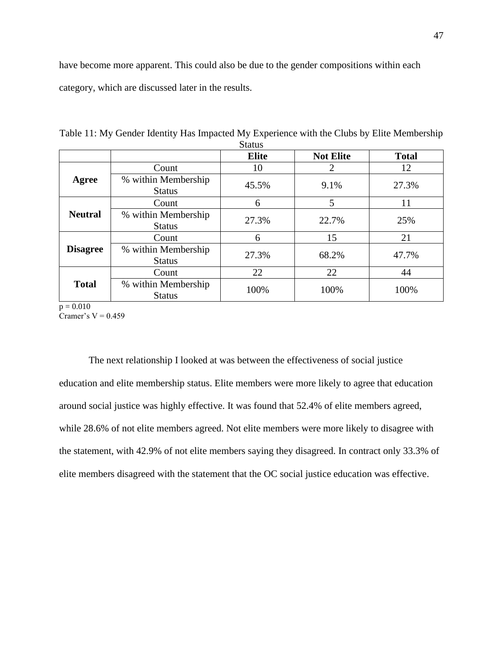have become more apparent. This could also be due to the gender compositions within each category, which are discussed later in the results.

|                 |                                      | <b>Elite</b> | <b>Not Elite</b> | <b>Total</b> |
|-----------------|--------------------------------------|--------------|------------------|--------------|
| Agree           | Count                                | 10           | $\overline{2}$   | 12           |
|                 | % within Membership<br><b>Status</b> | 45.5%        | 9.1%             | 27.3%        |
|                 | Count                                | 6            | 5                | 11           |
| <b>Neutral</b>  | % within Membership<br><b>Status</b> | 27.3%        | 22.7%            | 25%          |
|                 | Count                                | 6            | 15               | 21           |
| <b>Disagree</b> | % within Membership<br><b>Status</b> | 27.3%        | 68.2%            | 47.7%        |
|                 | Count                                | 22           | 22               | 44           |
| <b>Total</b>    | % within Membership<br><b>Status</b> | 100%         | 100%             | 100%         |

Table 11: My Gender Identity Has Impacted My Experience with the Clubs by Elite Membership Status<sup>1</sup>

 $p = 0.010$ 

Cramer's  $V = 0.459$ 

The next relationship I looked at was between the effectiveness of social justice education and elite membership status. Elite members were more likely to agree that education around social justice was highly effective. It was found that 52.4% of elite members agreed, while 28.6% of not elite members agreed. Not elite members were more likely to disagree with the statement, with 42.9% of not elite members saying they disagreed. In contract only 33.3% of elite members disagreed with the statement that the OC social justice education was effective.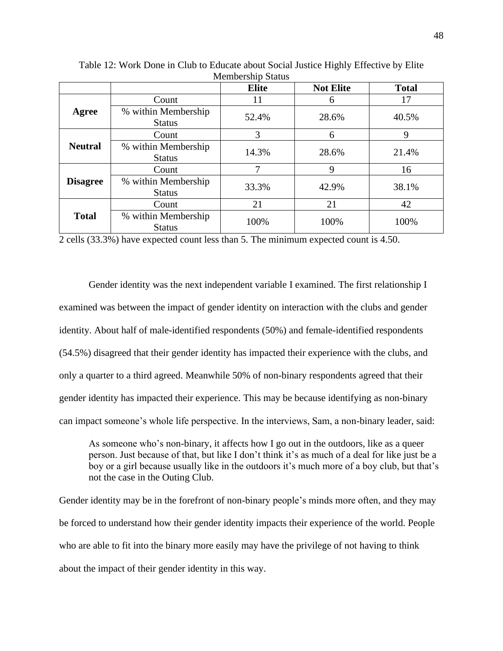| $\cdots$        |                                      |              |                  |              |  |
|-----------------|--------------------------------------|--------------|------------------|--------------|--|
|                 |                                      | <b>Elite</b> | <b>Not Elite</b> | <b>Total</b> |  |
|                 | Count                                | 11           | 6                | 17           |  |
| Agree           | % within Membership<br><b>Status</b> | 52.4%        | 28.6%            | 40.5%        |  |
|                 | Count                                | 3            | 6                | 9            |  |
| <b>Neutral</b>  | % within Membership<br><b>Status</b> | 14.3%        | 28.6%            | 21.4%        |  |
|                 | Count                                | ┑            | 9                | 16           |  |
| <b>Disagree</b> | % within Membership<br><b>Status</b> | 33.3%        | 42.9%            | 38.1%        |  |
|                 | Count                                | 21           | 21               | 42           |  |
| <b>Total</b>    | % within Membership<br><b>Status</b> | 100%         | 100%             | 100%         |  |

Table 12: Work Done in Club to Educate about Social Justice Highly Effective by Elite Membership Status

2 cells (33.3%) have expected count less than 5. The minimum expected count is 4.50.

Gender identity was the next independent variable I examined. The first relationship I examined was between the impact of gender identity on interaction with the clubs and gender identity. About half of male-identified respondents (50%) and female-identified respondents (54.5%) disagreed that their gender identity has impacted their experience with the clubs, and only a quarter to a third agreed. Meanwhile 50% of non-binary respondents agreed that their gender identity has impacted their experience. This may be because identifying as non-binary can impact someone's whole life perspective. In the interviews, Sam, a non-binary leader, said:

As someone who's non-binary, it affects how I go out in the outdoors, like as a queer person. Just because of that, but like I don't think it's as much of a deal for like just be a boy or a girl because usually like in the outdoors it's much more of a boy club, but that's not the case in the Outing Club.

Gender identity may be in the forefront of non-binary people's minds more often, and they may be forced to understand how their gender identity impacts their experience of the world. People who are able to fit into the binary more easily may have the privilege of not having to think about the impact of their gender identity in this way.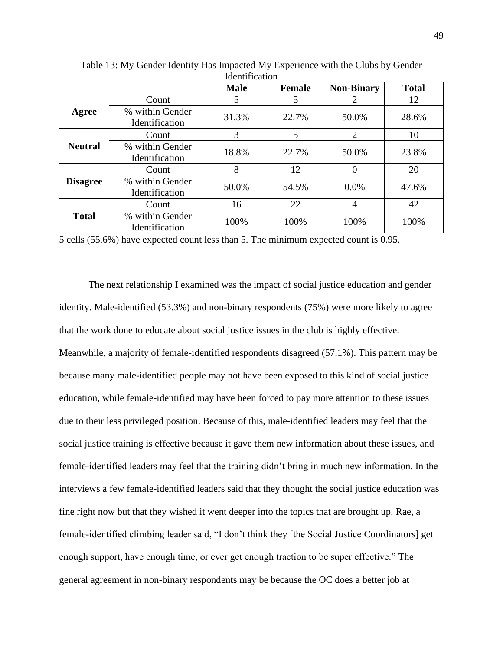|                 |                                   | <b>Male</b> | <b>Female</b> | <b>Non-Binary</b> | <b>Total</b> |
|-----------------|-----------------------------------|-------------|---------------|-------------------|--------------|
|                 | Count                             | 5           | 5             | 2                 | 12           |
| Agree           | % within Gender<br>Identification | 31.3%       | 22.7%         | 50.0%             | 28.6%        |
|                 | Count                             | 3           | 5             | $\overline{2}$    | 10           |
| <b>Neutral</b>  | % within Gender<br>Identification | 18.8%       | 22.7%         | 50.0%             | 23.8%        |
|                 | Count                             | 8           | 12            | 0                 | 20           |
| <b>Disagree</b> | % within Gender<br>Identification | 50.0%       | 54.5%         | 0.0%              | 47.6%        |
|                 | Count                             | 16          | 22            | 4                 | 42           |
| <b>Total</b>    | % within Gender<br>Identification | 100%        | 100%          | 100%              | 100%         |

Table 13: My Gender Identity Has Impacted My Experience with the Clubs by Gender Identification

5 cells (55.6%) have expected count less than 5. The minimum expected count is 0.95.

The next relationship I examined was the impact of social justice education and gender identity. Male-identified (53.3%) and non-binary respondents (75%) were more likely to agree that the work done to educate about social justice issues in the club is highly effective. Meanwhile, a majority of female-identified respondents disagreed (57.1%). This pattern may be because many male-identified people may not have been exposed to this kind of social justice education, while female-identified may have been forced to pay more attention to these issues due to their less privileged position. Because of this, male-identified leaders may feel that the social justice training is effective because it gave them new information about these issues, and female-identified leaders may feel that the training didn't bring in much new information. In the interviews a few female-identified leaders said that they thought the social justice education was fine right now but that they wished it went deeper into the topics that are brought up. Rae, a female-identified climbing leader said, "I don't think they [the Social Justice Coordinators] get enough support, have enough time, or ever get enough traction to be super effective." The general agreement in non-binary respondents may be because the OC does a better job at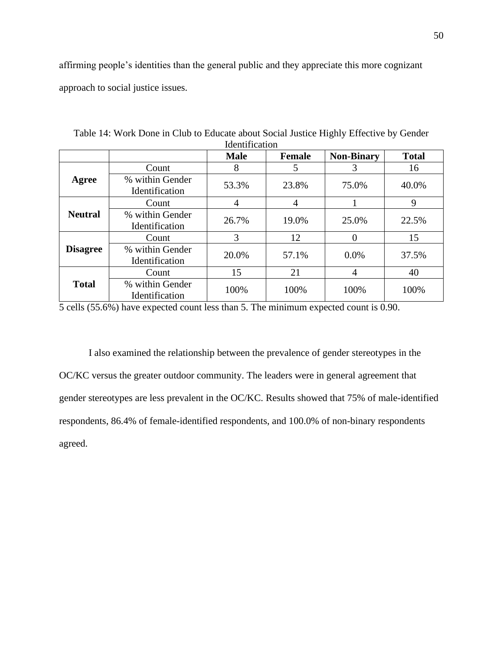affirming people's identities than the general public and they appreciate this more cognizant approach to social justice issues.

| <u>iuchti kativii</u> |                                          |             |               |                   |              |
|-----------------------|------------------------------------------|-------------|---------------|-------------------|--------------|
|                       |                                          | <b>Male</b> | <b>Female</b> | <b>Non-Binary</b> | <b>Total</b> |
|                       | Count                                    | 8           | 5             | 3                 | 16           |
| Agree                 | % within Gender<br><b>Identification</b> | 53.3%       | 23.8%         | 75.0%             | 40.0%        |
|                       | Count                                    | 4           | 4             |                   | 9            |
| <b>Neutral</b>        | % within Gender<br>Identification        | 26.7%       | 19.0%         | 25.0%             | 22.5%        |
|                       | Count                                    | 3           | 12            | 0                 | 15           |
| <b>Disagree</b>       | % within Gender<br>Identification        | 20.0%       | 57.1%         | 0.0%              | 37.5%        |
|                       | Count                                    | 15          | 21            | 4                 | 40           |
| <b>Total</b>          | % within Gender<br>Identification        | 100%        | 100%          | 100%              | 100%         |

Table 14: Work Done in Club to Educate about Social Justice Highly Effective by Gender Identification

5 cells (55.6%) have expected count less than 5. The minimum expected count is 0.90.

I also examined the relationship between the prevalence of gender stereotypes in the OC/KC versus the greater outdoor community. The leaders were in general agreement that gender stereotypes are less prevalent in the OC/KC. Results showed that 75% of male-identified respondents, 86.4% of female-identified respondents, and 100.0% of non-binary respondents agreed.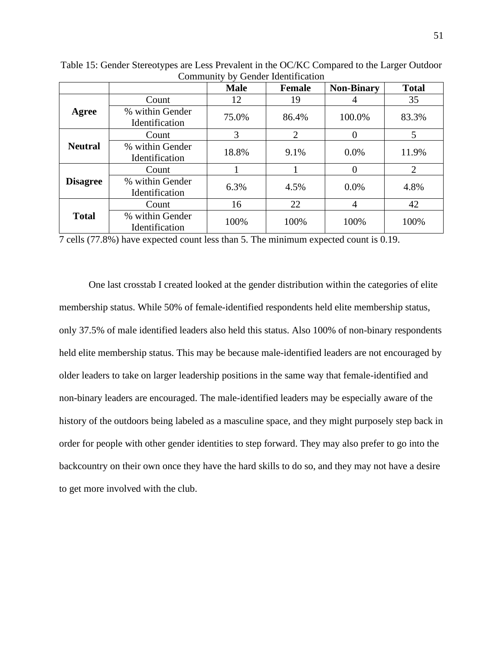|                 |                                   | <b>Male</b> | <b>Female</b>  | <b>Non-Binary</b> | <b>Total</b>   |  |  |
|-----------------|-----------------------------------|-------------|----------------|-------------------|----------------|--|--|
| Agree           | Count                             | 12          | 19             | 4                 | 35             |  |  |
|                 | % within Gender<br>Identification | 75.0%       | 86.4%          | 100.0%            | 83.3%          |  |  |
| <b>Neutral</b>  | Count                             | 3           | $\overline{2}$ |                   | 5              |  |  |
|                 | % within Gender<br>Identification | 18.8%       | 9.1%           | 0.0%              | 11.9%          |  |  |
| <b>Disagree</b> | Count                             |             |                | $\theta$          | $\overline{2}$ |  |  |
|                 | % within Gender<br>Identification | 6.3%        | 4.5%           | 0.0%              | 4.8%           |  |  |
| <b>Total</b>    | Count                             | 16          | 22             | 4                 | 42             |  |  |
|                 | % within Gender<br>Identification | 100%        | 100%           | 100%              | 100%           |  |  |

Table 15: Gender Stereotypes are Less Prevalent in the OC/KC Compared to the Larger Outdoor Community by Gender Identification

7 cells (77.8%) have expected count less than 5. The minimum expected count is 0.19.

One last crosstab I created looked at the gender distribution within the categories of elite membership status. While 50% of female-identified respondents held elite membership status, only 37.5% of male identified leaders also held this status. Also 100% of non-binary respondents held elite membership status. This may be because male-identified leaders are not encouraged by older leaders to take on larger leadership positions in the same way that female-identified and non-binary leaders are encouraged. The male-identified leaders may be especially aware of the history of the outdoors being labeled as a masculine space, and they might purposely step back in order for people with other gender identities to step forward. They may also prefer to go into the backcountry on their own once they have the hard skills to do so, and they may not have a desire to get more involved with the club.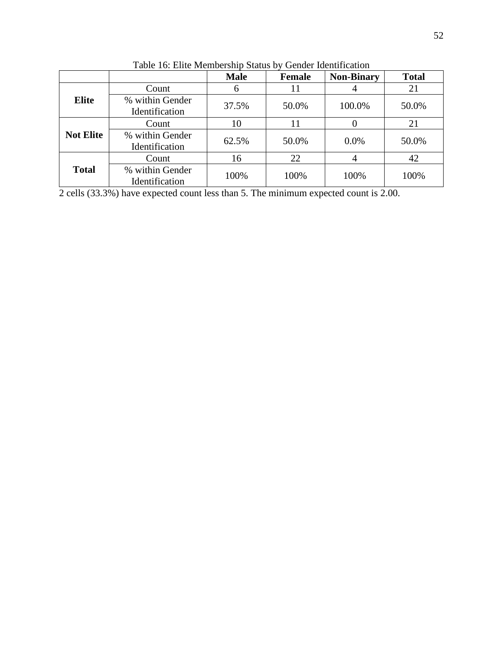|                  |                                   | <b>Male</b> | <b>Female</b> | <b>Non-Binary</b> | <b>Total</b> |
|------------------|-----------------------------------|-------------|---------------|-------------------|--------------|
| <b>Elite</b>     | Count                             | 6           | 11            |                   | 21           |
|                  | % within Gender<br>Identification | 37.5%       | 50.0%         | 100.0%            | 50.0%        |
| <b>Not Elite</b> | Count                             | 10          | 11            |                   | 21           |
|                  | % within Gender<br>Identification | 62.5%       | 50.0%         | $0.0\%$           | 50.0%        |
| <b>Total</b>     | Count                             | 16          | 22            |                   | 42           |
|                  | % within Gender<br>Identification | 100%        | 100%          | 100%              | 100%         |

Table 16: Elite Membership Status by Gender Identification

2 cells (33.3%) have expected count less than 5. The minimum expected count is 2.00.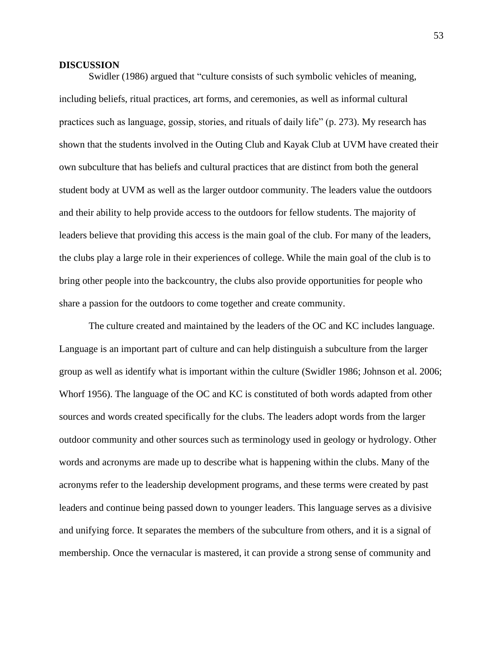#### **DISCUSSION**

Swidler (1986) argued that "culture consists of such symbolic vehicles of meaning, including beliefs, ritual practices, art forms, and ceremonies, as well as informal cultural practices such as language, gossip, stories, and rituals of daily life" (p. 273). My research has shown that the students involved in the Outing Club and Kayak Club at UVM have created their own subculture that has beliefs and cultural practices that are distinct from both the general student body at UVM as well as the larger outdoor community. The leaders value the outdoors and their ability to help provide access to the outdoors for fellow students. The majority of leaders believe that providing this access is the main goal of the club. For many of the leaders, the clubs play a large role in their experiences of college. While the main goal of the club is to bring other people into the backcountry, the clubs also provide opportunities for people who share a passion for the outdoors to come together and create community.

The culture created and maintained by the leaders of the OC and KC includes language. Language is an important part of culture and can help distinguish a subculture from the larger group as well as identify what is important within the culture (Swidler 1986; Johnson et al. 2006; Whorf 1956). The language of the OC and KC is constituted of both words adapted from other sources and words created specifically for the clubs. The leaders adopt words from the larger outdoor community and other sources such as terminology used in geology or hydrology. Other words and acronyms are made up to describe what is happening within the clubs. Many of the acronyms refer to the leadership development programs, and these terms were created by past leaders and continue being passed down to younger leaders. This language serves as a divisive and unifying force. It separates the members of the subculture from others, and it is a signal of membership. Once the vernacular is mastered, it can provide a strong sense of community and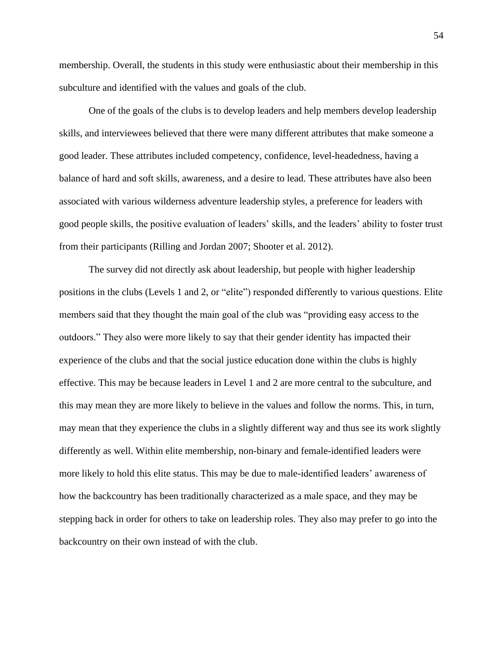membership. Overall, the students in this study were enthusiastic about their membership in this subculture and identified with the values and goals of the club.

One of the goals of the clubs is to develop leaders and help members develop leadership skills, and interviewees believed that there were many different attributes that make someone a good leader. These attributes included competency, confidence, level-headedness, having a balance of hard and soft skills, awareness, and a desire to lead. These attributes have also been associated with various wilderness adventure leadership styles, a preference for leaders with good people skills, the positive evaluation of leaders' skills, and the leaders' ability to foster trust from their participants (Rilling and Jordan 2007; Shooter et al. 2012).

The survey did not directly ask about leadership, but people with higher leadership positions in the clubs (Levels 1 and 2, or "elite") responded differently to various questions. Elite members said that they thought the main goal of the club was "providing easy access to the outdoors." They also were more likely to say that their gender identity has impacted their experience of the clubs and that the social justice education done within the clubs is highly effective. This may be because leaders in Level 1 and 2 are more central to the subculture, and this may mean they are more likely to believe in the values and follow the norms. This, in turn, may mean that they experience the clubs in a slightly different way and thus see its work slightly differently as well. Within elite membership, non-binary and female-identified leaders were more likely to hold this elite status. This may be due to male-identified leaders' awareness of how the backcountry has been traditionally characterized as a male space, and they may be stepping back in order for others to take on leadership roles. They also may prefer to go into the backcountry on their own instead of with the club.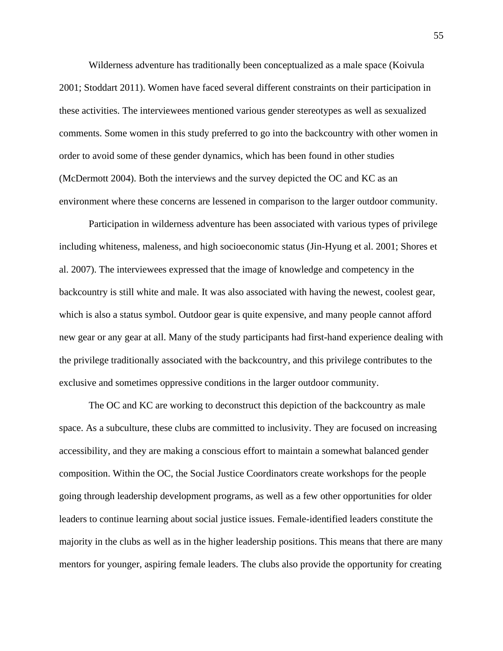Wilderness adventure has traditionally been conceptualized as a male space (Koivula 2001; Stoddart 2011). Women have faced several different constraints on their participation in these activities. The interviewees mentioned various gender stereotypes as well as sexualized comments. Some women in this study preferred to go into the backcountry with other women in order to avoid some of these gender dynamics, which has been found in other studies (McDermott 2004). Both the interviews and the survey depicted the OC and KC as an environment where these concerns are lessened in comparison to the larger outdoor community.

Participation in wilderness adventure has been associated with various types of privilege including whiteness, maleness, and high socioeconomic status (Jin-Hyung et al. 2001; Shores et al. 2007). The interviewees expressed that the image of knowledge and competency in the backcountry is still white and male. It was also associated with having the newest, coolest gear, which is also a status symbol. Outdoor gear is quite expensive, and many people cannot afford new gear or any gear at all. Many of the study participants had first-hand experience dealing with the privilege traditionally associated with the backcountry, and this privilege contributes to the exclusive and sometimes oppressive conditions in the larger outdoor community.

The OC and KC are working to deconstruct this depiction of the backcountry as male space. As a subculture, these clubs are committed to inclusivity. They are focused on increasing accessibility, and they are making a conscious effort to maintain a somewhat balanced gender composition. Within the OC, the Social Justice Coordinators create workshops for the people going through leadership development programs, as well as a few other opportunities for older leaders to continue learning about social justice issues. Female-identified leaders constitute the majority in the clubs as well as in the higher leadership positions. This means that there are many mentors for younger, aspiring female leaders. The clubs also provide the opportunity for creating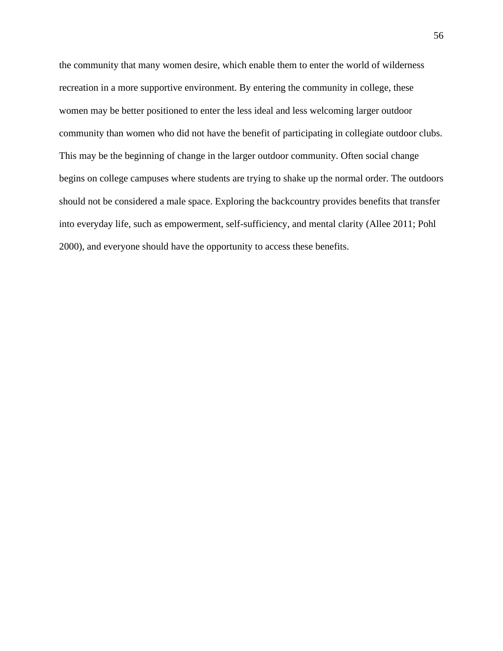the community that many women desire, which enable them to enter the world of wilderness recreation in a more supportive environment. By entering the community in college, these women may be better positioned to enter the less ideal and less welcoming larger outdoor community than women who did not have the benefit of participating in collegiate outdoor clubs. This may be the beginning of change in the larger outdoor community. Often social change begins on college campuses where students are trying to shake up the normal order. The outdoors should not be considered a male space. Exploring the backcountry provides benefits that transfer into everyday life, such as empowerment, self-sufficiency, and mental clarity (Allee 2011; Pohl 2000), and everyone should have the opportunity to access these benefits.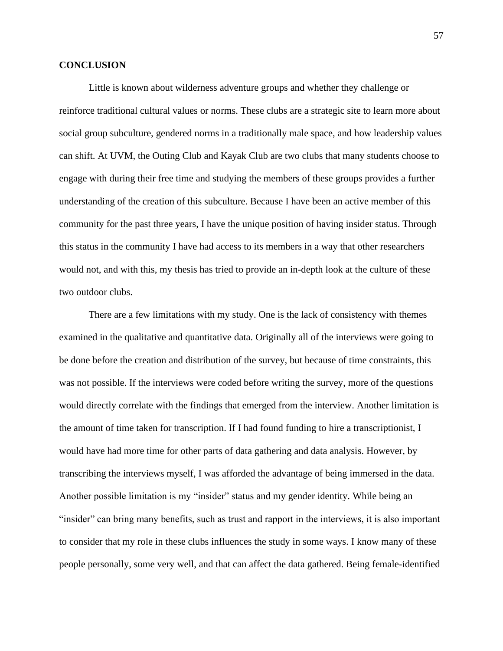### **CONCLUSION**

Little is known about wilderness adventure groups and whether they challenge or reinforce traditional cultural values or norms. These clubs are a strategic site to learn more about social group subculture, gendered norms in a traditionally male space, and how leadership values can shift. At UVM, the Outing Club and Kayak Club are two clubs that many students choose to engage with during their free time and studying the members of these groups provides a further understanding of the creation of this subculture. Because I have been an active member of this community for the past three years, I have the unique position of having insider status. Through this status in the community I have had access to its members in a way that other researchers would not, and with this, my thesis has tried to provide an in-depth look at the culture of these two outdoor clubs.

There are a few limitations with my study. One is the lack of consistency with themes examined in the qualitative and quantitative data. Originally all of the interviews were going to be done before the creation and distribution of the survey, but because of time constraints, this was not possible. If the interviews were coded before writing the survey, more of the questions would directly correlate with the findings that emerged from the interview. Another limitation is the amount of time taken for transcription. If I had found funding to hire a transcriptionist, I would have had more time for other parts of data gathering and data analysis. However, by transcribing the interviews myself, I was afforded the advantage of being immersed in the data. Another possible limitation is my "insider" status and my gender identity. While being an "insider" can bring many benefits, such as trust and rapport in the interviews, it is also important to consider that my role in these clubs influences the study in some ways. I know many of these people personally, some very well, and that can affect the data gathered. Being female-identified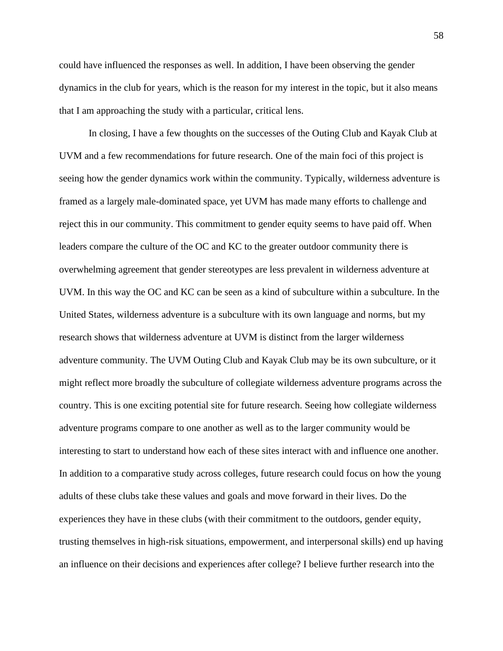could have influenced the responses as well. In addition, I have been observing the gender dynamics in the club for years, which is the reason for my interest in the topic, but it also means that I am approaching the study with a particular, critical lens.

In closing, I have a few thoughts on the successes of the Outing Club and Kayak Club at UVM and a few recommendations for future research. One of the main foci of this project is seeing how the gender dynamics work within the community. Typically, wilderness adventure is framed as a largely male-dominated space, yet UVM has made many efforts to challenge and reject this in our community. This commitment to gender equity seems to have paid off. When leaders compare the culture of the OC and KC to the greater outdoor community there is overwhelming agreement that gender stereotypes are less prevalent in wilderness adventure at UVM. In this way the OC and KC can be seen as a kind of subculture within a subculture. In the United States, wilderness adventure is a subculture with its own language and norms, but my research shows that wilderness adventure at UVM is distinct from the larger wilderness adventure community. The UVM Outing Club and Kayak Club may be its own subculture, or it might reflect more broadly the subculture of collegiate wilderness adventure programs across the country. This is one exciting potential site for future research. Seeing how collegiate wilderness adventure programs compare to one another as well as to the larger community would be interesting to start to understand how each of these sites interact with and influence one another. In addition to a comparative study across colleges, future research could focus on how the young adults of these clubs take these values and goals and move forward in their lives. Do the experiences they have in these clubs (with their commitment to the outdoors, gender equity, trusting themselves in high-risk situations, empowerment, and interpersonal skills) end up having an influence on their decisions and experiences after college? I believe further research into the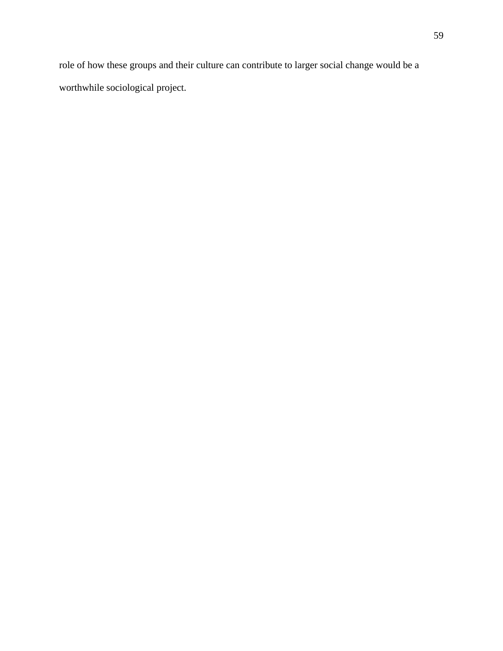role of how these groups and their culture can contribute to larger social change would be a worthwhile sociological project.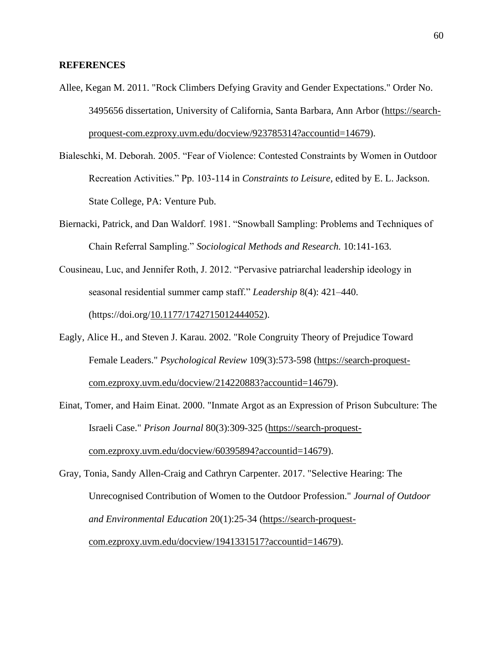### **REFERENCES**

- Allee, Kegan M. 2011. "Rock Climbers Defying Gravity and Gender Expectations." Order No. 3495656 dissertation, University of California, Santa Barbara, Ann Arbor [\(https://search](https://search-proquest-com.ezproxy.uvm.edu/docview/923785314?accountid=14679)[proquest-com.ezproxy.uvm.edu/docview/923785314?accountid=14679\)](https://search-proquest-com.ezproxy.uvm.edu/docview/923785314?accountid=14679).
- Bialeschki, M. Deborah. 2005. "Fear of Violence: Contested Constraints by Women in Outdoor Recreation Activities." Pp. 103-114 in *Constraints to Leisure,* edited by E. L. Jackson. State College, PA: Venture Pub.
- Biernacki, Patrick, and Dan Waldorf. 1981. "Snowball Sampling: Problems and Techniques of Chain Referral Sampling." *Sociological Methods and Research.* 10:141-163.
- Cousineau, Luc, and Jennifer Roth, J. 2012. "Pervasive patriarchal leadership ideology in seasonal residential summer camp staff." *Leadership* 8(4): 421–440. (https://doi.org[/10.1177/1742715012444052\)](https://doi-org.ezproxy.uvm.edu/10.1177/1742715012444052).
- Eagly, Alice H., and Steven J. Karau. 2002. "Role Congruity Theory of Prejudice Toward Female Leaders." *Psychological Review* 109(3):573-598 [\(https://search-proquest](https://search-proquest-com.ezproxy.uvm.edu/docview/214220883?accountid=14679)[com.ezproxy.uvm.edu/docview/214220883?accountid=14679\)](https://search-proquest-com.ezproxy.uvm.edu/docview/214220883?accountid=14679).
- Einat, Tomer, and Haim Einat. 2000. "Inmate Argot as an Expression of Prison Subculture: The Israeli Case." *Prison Journal* 80(3):309-325 [\(https://search-proquest](https://search-proquest-com.ezproxy.uvm.edu/docview/60395894?accountid=14679)[com.ezproxy.uvm.edu/docview/60395894?accountid=14679\)](https://search-proquest-com.ezproxy.uvm.edu/docview/60395894?accountid=14679).
- Gray, Tonia, Sandy Allen-Craig and Cathryn Carpenter. 2017. "Selective Hearing: The Unrecognised Contribution of Women to the Outdoor Profession." *Journal of Outdoor and Environmental Education* 20(1):25-34 [\(https://search-proquest](https://search-proquest-com.ezproxy.uvm.edu/docview/1941331517?accountid=14679)[com.ezproxy.uvm.edu/docview/1941331517?accountid=14679\)](https://search-proquest-com.ezproxy.uvm.edu/docview/1941331517?accountid=14679).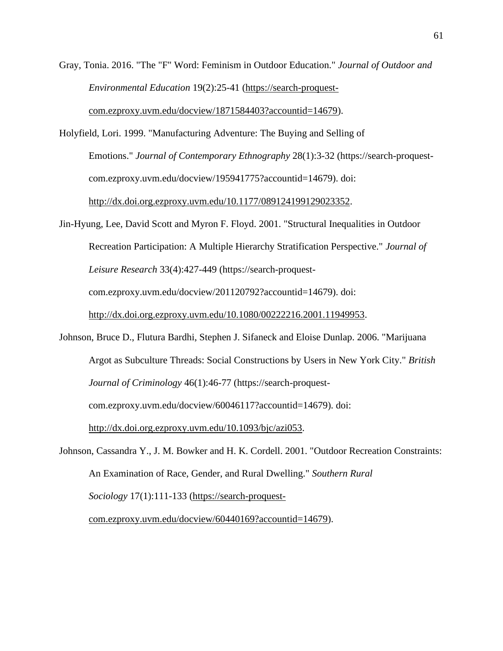Gray, Tonia. 2016. "The "F" Word: Feminism in Outdoor Education." *Journal of Outdoor and Environmental Education* 19(2):25-41 [\(https://search-proquest](https://search-proquest-com.ezproxy.uvm.edu/docview/1871584403?accountid=14679)[com.ezproxy.uvm.edu/docview/1871584403?accountid=14679\)](https://search-proquest-com.ezproxy.uvm.edu/docview/1871584403?accountid=14679).

Holyfield, Lori. 1999. "Manufacturing Adventure: The Buying and Selling of Emotions." *Journal of Contemporary Ethnography* 28(1):3-32 (https://search-proquestcom.ezproxy.uvm.edu/docview/195941775?accountid=14679). doi: [http://dx.doi.org.ezproxy.uvm.edu/10.1177/089124199129023352.](http://dx.doi.org.ezproxy.uvm.edu/10.1177/089124199129023352)

Jin-Hyung, Lee, David Scott and Myron F. Floyd. 2001. "Structural Inequalities in Outdoor Recreation Participation: A Multiple Hierarchy Stratification Perspective." *Journal of Leisure Research* 33(4):427-449 (https://search-proquestcom.ezproxy.uvm.edu/docview/201120792?accountid=14679). doi: [http://dx.doi.org.ezproxy.uvm.edu/10.1080/00222216.2001.11949953.](http://dx.doi.org.ezproxy.uvm.edu/10.1080/00222216.2001.11949953)

Johnson, Bruce D., Flutura Bardhi, Stephen J. Sifaneck and Eloise Dunlap. 2006. "Marijuana Argot as Subculture Threads: Social Constructions by Users in New York City." *British Journal of Criminology* 46(1):46-77 (https://search-proquestcom.ezproxy.uvm.edu/docview/60046117?accountid=14679). doi: [http://dx.doi.org.ezproxy.uvm.edu/10.1093/bjc/azi053.](http://dx.doi.org.ezproxy.uvm.edu/10.1093/bjc/azi053)

Johnson, Cassandra Y., J. M. Bowker and H. K. Cordell. 2001. "Outdoor Recreation Constraints: An Examination of Race, Gender, and Rural Dwelling." *Southern Rural Sociology* 17(1):111-133 [\(https://search-proquest-](https://search-proquest-com.ezproxy.uvm.edu/docview/60440169?accountid=14679)

[com.ezproxy.uvm.edu/docview/60440169?accountid=14679\)](https://search-proquest-com.ezproxy.uvm.edu/docview/60440169?accountid=14679).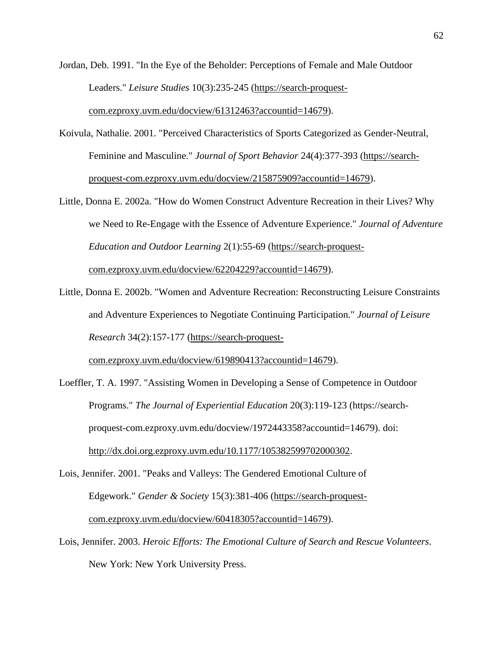Jordan, Deb. 1991. "In the Eye of the Beholder: Perceptions of Female and Male Outdoor Leaders." *Leisure Studies* 10(3):235-245 [\(https://search-proquest](https://search-proquest-com.ezproxy.uvm.edu/docview/61312463?accountid=14679)[com.ezproxy.uvm.edu/docview/61312463?accountid=14679\)](https://search-proquest-com.ezproxy.uvm.edu/docview/61312463?accountid=14679).

- Koivula, Nathalie. 2001. "Perceived Characteristics of Sports Categorized as Gender-Neutral, Feminine and Masculine." *Journal of Sport Behavior* 24(4):377-393 [\(https://search](https://search-proquest-com.ezproxy.uvm.edu/docview/215875909?accountid=14679)[proquest-com.ezproxy.uvm.edu/docview/215875909?accountid=14679\)](https://search-proquest-com.ezproxy.uvm.edu/docview/215875909?accountid=14679).
- Little, Donna E. 2002a. "How do Women Construct Adventure Recreation in their Lives? Why we Need to Re-Engage with the Essence of Adventure Experience." *Journal of Adventure Education and Outdoor Learning* 2(1):55-69 [\(https://search-proquest](https://search-proquest-com.ezproxy.uvm.edu/docview/62204229?accountid=14679)[com.ezproxy.uvm.edu/docview/62204229?accountid=14679\)](https://search-proquest-com.ezproxy.uvm.edu/docview/62204229?accountid=14679).
- Little, Donna E. 2002b. "Women and Adventure Recreation: Reconstructing Leisure Constraints and Adventure Experiences to Negotiate Continuing Participation." *Journal of Leisure Research* 34(2):157-177 [\(https://search-proquest-](https://search-proquest-com.ezproxy.uvm.edu/docview/619890413?accountid=14679)

[com.ezproxy.uvm.edu/docview/619890413?accountid=14679\)](https://search-proquest-com.ezproxy.uvm.edu/docview/619890413?accountid=14679).

- Loeffler, T. A. 1997. "Assisting Women in Developing a Sense of Competence in Outdoor Programs." *The Journal of Experiential Education* 20(3):119-123 (https://searchproquest-com.ezproxy.uvm.edu/docview/1972443358?accountid=14679). doi: [http://dx.doi.org.ezproxy.uvm.edu/10.1177/105382599702000302.](http://dx.doi.org.ezproxy.uvm.edu/10.1177/105382599702000302)
- Lois, Jennifer. 2001. "Peaks and Valleys: The Gendered Emotional Culture of Edgework." *Gender & Society* 15(3):381-406 [\(https://search-proquest](https://search-proquest-com.ezproxy.uvm.edu/docview/60418305?accountid=14679)[com.ezproxy.uvm.edu/docview/60418305?accountid=14679\)](https://search-proquest-com.ezproxy.uvm.edu/docview/60418305?accountid=14679).
- Lois, Jennifer. 2003. *Heroic Efforts: The Emotional Culture of Search and Rescue Volunteers*. New York: New York University Press.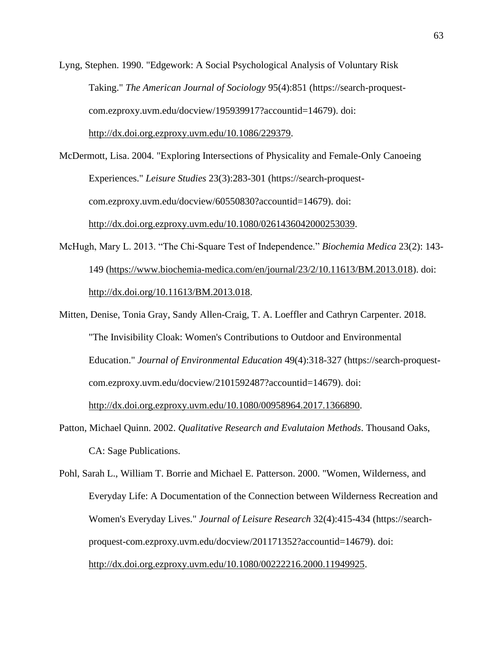Lyng, Stephen. 1990. "Edgework: A Social Psychological Analysis of Voluntary Risk Taking." *The American Journal of Sociology* 95(4):851 (https://search-proquestcom.ezproxy.uvm.edu/docview/195939917?accountid=14679). doi: [http://dx.doi.org.ezproxy.uvm.edu/10.1086/229379.](http://dx.doi.org.ezproxy.uvm.edu/10.1086/229379)

McDermott, Lisa. 2004. "Exploring Intersections of Physicality and Female-Only Canoeing Experiences." *Leisure Studies* 23(3):283-301 (https://search-proquestcom.ezproxy.uvm.edu/docview/60550830?accountid=14679). doi: [http://dx.doi.org.ezproxy.uvm.edu/10.1080/0261436042000253039.](http://dx.doi.org.ezproxy.uvm.edu/10.1080/0261436042000253039)

- McHugh, Mary L. 2013. "The Chi-Square Test of Independence." *Biochemia Medica* 23(2): 143- 149 [\(https://www.biochemia-medica.com/en/journal/23/2/10.11613/BM.2013.018\)](https://www.biochemia-medica.com/en/journal/23/2/10.11613/BM.2013.018). doi: [http://dx.doi.org/10.11613/BM.2013.018.](http://dx.doi.org/10.11613/BM.2013.018)
- Mitten, Denise, Tonia Gray, Sandy Allen-Craig, T. A. Loeffler and Cathryn Carpenter. 2018. "The Invisibility Cloak: Women's Contributions to Outdoor and Environmental Education." *Journal of Environmental Education* 49(4):318-327 (https://search-proquestcom.ezproxy.uvm.edu/docview/2101592487?accountid=14679). doi: [http://dx.doi.org.ezproxy.uvm.edu/10.1080/00958964.2017.1366890.](http://dx.doi.org.ezproxy.uvm.edu/10.1080/00958964.2017.1366890)
- Patton, Michael Quinn. 2002. *Qualitative Research and Evalutaion Methods*. Thousand Oaks, CA: Sage Publications.

Pohl, Sarah L., William T. Borrie and Michael E. Patterson. 2000. "Women, Wilderness, and Everyday Life: A Documentation of the Connection between Wilderness Recreation and Women's Everyday Lives." *Journal of Leisure Research* 32(4):415-434 (https://searchproquest-com.ezproxy.uvm.edu/docview/201171352?accountid=14679). doi: [http://dx.doi.org.ezproxy.uvm.edu/10.1080/00222216.2000.11949925.](http://dx.doi.org.ezproxy.uvm.edu/10.1080/00222216.2000.11949925)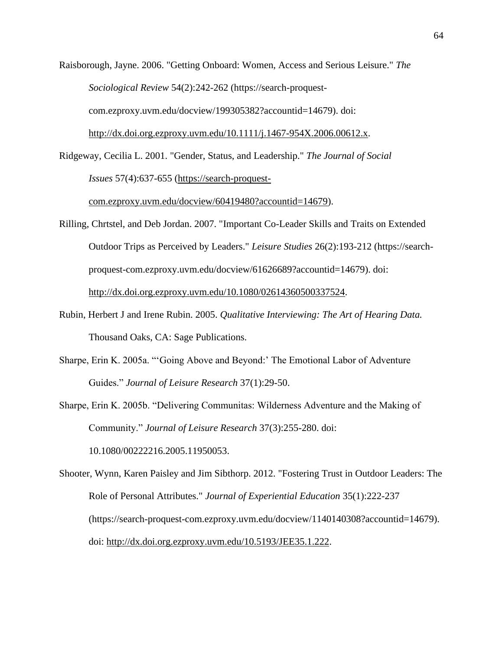Raisborough, Jayne. 2006. "Getting Onboard: Women, Access and Serious Leisure." *The Sociological Review* 54(2):242-262 (https://search-proquestcom.ezproxy.uvm.edu/docview/199305382?accountid=14679). doi: [http://dx.doi.org.ezproxy.uvm.edu/10.1111/j.1467-954X.2006.00612.x.](http://dx.doi.org.ezproxy.uvm.edu/10.1111/j.1467-954X.2006.00612.x)

Ridgeway, Cecilia L. 2001. "Gender, Status, and Leadership." *The Journal of Social Issues* 57(4):637-655 [\(https://search-proquest-](https://search-proquest-com.ezproxy.uvm.edu/docview/60419480?accountid=14679)

[com.ezproxy.uvm.edu/docview/60419480?accountid=14679\)](https://search-proquest-com.ezproxy.uvm.edu/docview/60419480?accountid=14679).

- Rilling, Chrtstel, and Deb Jordan. 2007. "Important Co-Leader Skills and Traits on Extended Outdoor Trips as Perceived by Leaders." *Leisure Studies* 26(2):193-212 (https://searchproquest-com.ezproxy.uvm.edu/docview/61626689?accountid=14679). doi: [http://dx.doi.org.ezproxy.uvm.edu/10.1080/02614360500337524.](http://dx.doi.org.ezproxy.uvm.edu/10.1080/02614360500337524)
- Rubin, Herbert J and Irene Rubin. 2005. *Qualitative Interviewing: The Art of Hearing Data.* Thousand Oaks, CA: Sage Publications.
- Sharpe, Erin K. 2005a. "'Going Above and Beyond:' The Emotional Labor of Adventure Guides." *Journal of Leisure Research* 37(1):29-50.
- Sharpe, Erin K. 2005b. "Delivering Communitas: Wilderness Adventure and the Making of Community." *Journal of Leisure Research* 37(3):255-280. doi: 10.1080/00222216.2005.11950053.

Shooter, Wynn, Karen Paisley and Jim Sibthorp. 2012. "Fostering Trust in Outdoor Leaders: The Role of Personal Attributes." *Journal of Experiential Education* 35(1):222-237 (https://search-proquest-com.ezproxy.uvm.edu/docview/1140140308?accountid=14679). doi: [http://dx.doi.org.ezproxy.uvm.edu/10.5193/JEE35.1.222.](http://dx.doi.org.ezproxy.uvm.edu/10.5193/JEE35.1.222)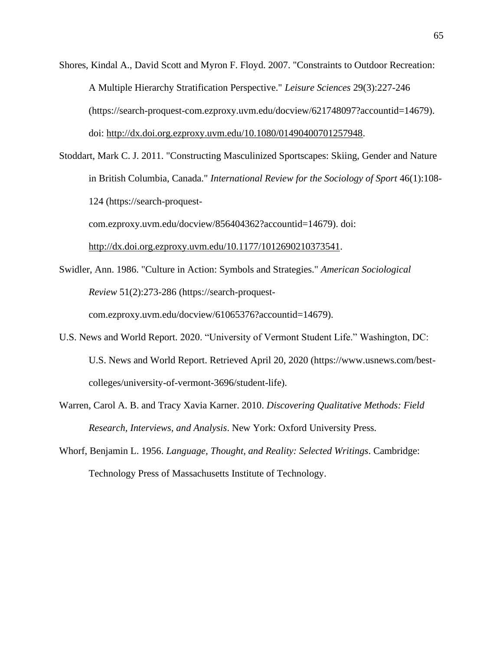Shores, Kindal A., David Scott and Myron F. Floyd. 2007. "Constraints to Outdoor Recreation: A Multiple Hierarchy Stratification Perspective." *Leisure Sciences* 29(3):227-246 (https://search-proquest-com.ezproxy.uvm.edu/docview/621748097?accountid=14679). doi: [http://dx.doi.org.ezproxy.uvm.edu/10.1080/01490400701257948.](http://dx.doi.org.ezproxy.uvm.edu/10.1080/01490400701257948)

Stoddart, Mark C. J. 2011. "Constructing Masculinized Sportscapes: Skiing, Gender and Nature in British Columbia, Canada." *International Review for the Sociology of Sport* 46(1):108- 124 (https://search-proquestcom.ezproxy.uvm.edu/docview/856404362?accountid=14679). doi: [http://dx.doi.org.ezproxy.uvm.edu/10.1177/1012690210373541.](http://dx.doi.org.ezproxy.uvm.edu/10.1177/1012690210373541)

- Swidler, Ann. 1986. "Culture in Action: Symbols and Strategies." *American Sociological Review* 51(2):273-286 (https://search-proquestcom.ezproxy.uvm.edu/docview/61065376?accountid=14679).
- U.S. News and World Report. 2020. "University of Vermont Student Life." Washington, DC: U.S. News and World Report. Retrieved April 20, 2020 [\(https://www.usnews.com/best](https://www.usnews.com/best-colleges/university-of-vermont-3696/student-life)[colleges/university-of-vermont-3696/student-life\)](https://www.usnews.com/best-colleges/university-of-vermont-3696/student-life).
- Warren, Carol A. B. and Tracy Xavia Karner. 2010. *Discovering Qualitative Methods: Field Research, Interviews, and Analysis*. New York: Oxford University Press.
- Whorf, Benjamin L. 1956. *Language, Thought, and Reality: Selected Writings*. Cambridge: Technology Press of Massachusetts Institute of Technology.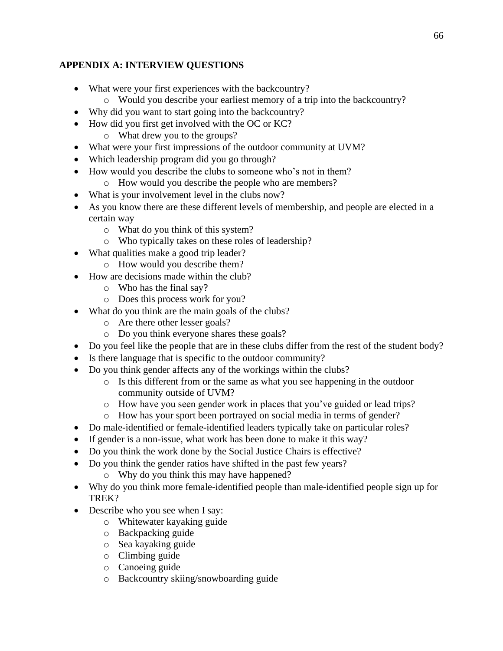# **APPENDIX A: INTERVIEW QUESTIONS**

- What were your first experiences with the backcountry?
	- o Would you describe your earliest memory of a trip into the backcountry?
- Why did you want to start going into the backcountry?
- How did you first get involved with the OC or KC?
	- o What drew you to the groups?
- What were your first impressions of the outdoor community at UVM?
- Which leadership program did you go through?
- How would you describe the clubs to someone who's not in them?
	- o How would you describe the people who are members?
- What is your involvement level in the clubs now?
- As you know there are these different levels of membership, and people are elected in a certain way
	- o What do you think of this system?
	- o Who typically takes on these roles of leadership?
- What qualities make a good trip leader?
	- o How would you describe them?
- How are decisions made within the club?
	- o Who has the final say?
	- o Does this process work for you?
- What do you think are the main goals of the clubs?
	- o Are there other lesser goals?
	- o Do you think everyone shares these goals?
- Do you feel like the people that are in these clubs differ from the rest of the student body?
- Is there language that is specific to the outdoor community?
- Do you think gender affects any of the workings within the clubs?
	- o Is this different from or the same as what you see happening in the outdoor community outside of UVM?
	- o How have you seen gender work in places that you've guided or lead trips?
	- o How has your sport been portrayed on social media in terms of gender?
- Do male-identified or female-identified leaders typically take on particular roles?
- If gender is a non-issue, what work has been done to make it this way?
- Do you think the work done by the Social Justice Chairs is effective?
- Do you think the gender ratios have shifted in the past few years?
	- o Why do you think this may have happened?
- Why do you think more female-identified people than male-identified people sign up for TREK?
- Describe who you see when I say:
	- o Whitewater kayaking guide
	- o Backpacking guide
	- o Sea kayaking guide
	- o Climbing guide
	- o Canoeing guide
	- o Backcountry skiing/snowboarding guide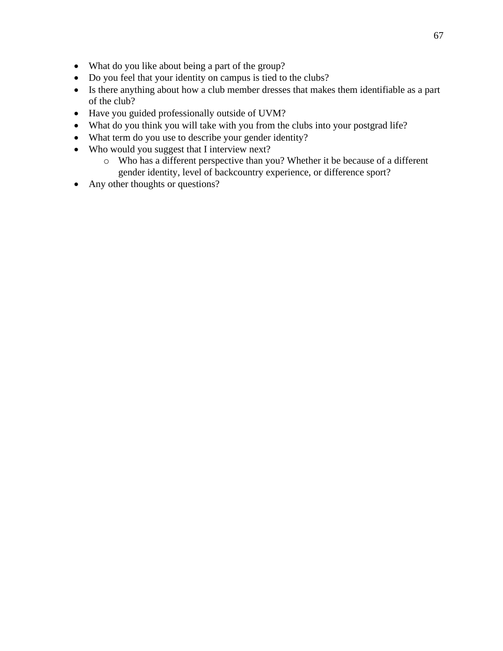- What do you like about being a part of the group?
- Do you feel that your identity on campus is tied to the clubs?
- Is there anything about how a club member dresses that makes them identifiable as a part of the club?
- Have you guided professionally outside of UVM?
- What do you think you will take with you from the clubs into your postgrad life?
- What term do you use to describe your gender identity?
- Who would you suggest that I interview next?
	- o Who has a different perspective than you? Whether it be because of a different gender identity, level of backcountry experience, or difference sport?
- Any other thoughts or questions?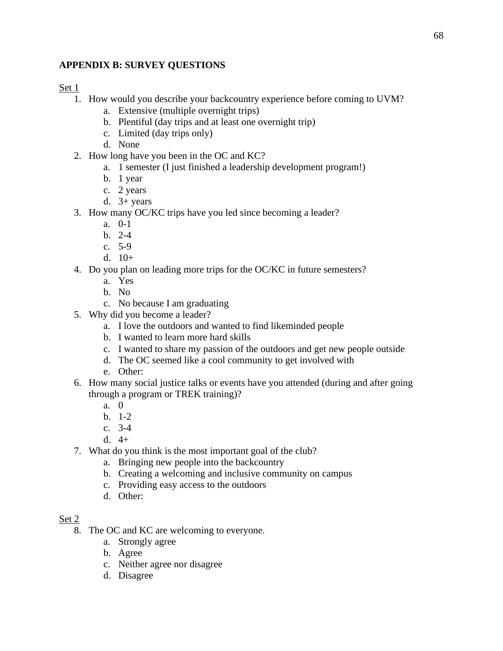# **APPENDIX B: SURVEY QUESTIONS**

### Set 1

- 1. How would you describe your backcountry experience before coming to UVM?
	- a. Extensive (multiple overnight trips)
	- b. Plentiful (day trips and at least one overnight trip)
	- c. Limited (day trips only)
	- d. None
- 2. How long have you been in the OC and KC?
	- a. 1 semester (I just finished a leadership development program!)
	- b. 1 year
	- c. 2 years
	- d.  $3+$  years
- 3. How many OC/KC trips have you led since becoming a leader?
	- a. 0-1
	- b. 2-4
	- c. 5-9
	- d. 10+
- 4. Do you plan on leading more trips for the OC/KC in future semesters?
	- a. Yes
	- b. No
	- c. No because I am graduating
- 5. Why did you become a leader?
	- a. I love the outdoors and wanted to find likeminded people
	- b. I wanted to learn more hard skills
	- c. I wanted to share my passion of the outdoors and get new people outside
	- d. The OC seemed like a cool community to get involved with
	- e. Other:
- 6. How many social justice talks or events have you attended (during and after going through a program or TREK training)?
	- a. 0
	- b. 1-2
	- c. 3-4
	- d.  $4+$
- 7. What do you think is the most important goal of the club?
	- a. Bringing new people into the backcountry
	- b. Creating a welcoming and inclusive community on campus
	- c. Providing easy access to the outdoors
	- d. Other:

### Set 2

- 8. The OC and KC are welcoming to everyone.
	- a. Strongly agree
	- b. Agree
	- c. Neither agree nor disagree
	- d. Disagree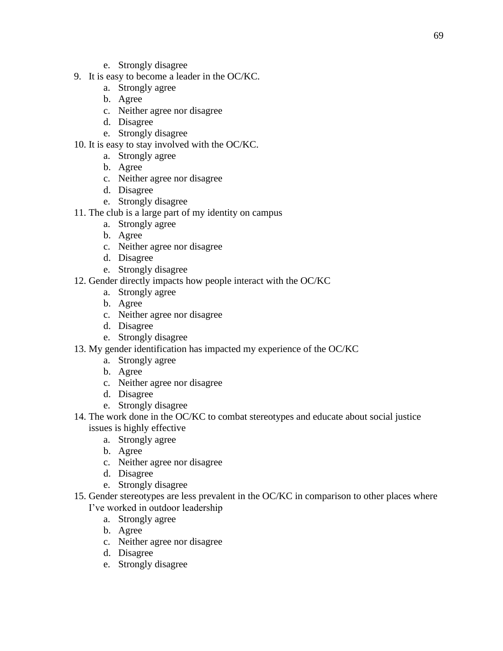- e. Strongly disagree
- 9. It is easy to become a leader in the OC/KC.
	- a. Strongly agree
	- b. Agree
	- c. Neither agree nor disagree
	- d. Disagree
	- e. Strongly disagree
- 10. It is easy to stay involved with the OC/KC.
	- a. Strongly agree
	- b. Agree
	- c. Neither agree nor disagree
	- d. Disagree
	- e. Strongly disagree
- 11. The club is a large part of my identity on campus
	- a. Strongly agree
	- b. Agree
	- c. Neither agree nor disagree
	- d. Disagree
	- e. Strongly disagree
- 12. Gender directly impacts how people interact with the OC/KC
	- a. Strongly agree
	- b. Agree
	- c. Neither agree nor disagree
	- d. Disagree
	- e. Strongly disagree
- 13. My gender identification has impacted my experience of the OC/KC
	- a. Strongly agree
	- b. Agree
	- c. Neither agree nor disagree
	- d. Disagree
	- e. Strongly disagree
- 14. The work done in the OC/KC to combat stereotypes and educate about social justice issues is highly effective
	- a. Strongly agree
	- b. Agree
	- c. Neither agree nor disagree
	- d. Disagree
	- e. Strongly disagree
- 15. Gender stereotypes are less prevalent in the OC/KC in comparison to other places where I've worked in outdoor leadership
	- a. Strongly agree
	- b. Agree
	- c. Neither agree nor disagree
	- d. Disagree
	- e. Strongly disagree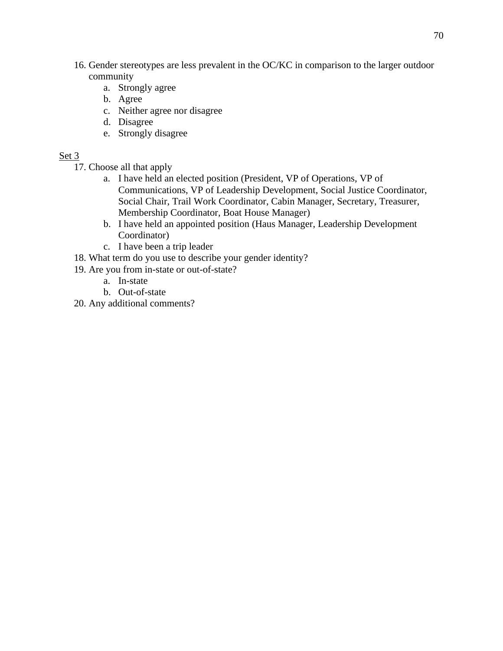- 16. Gender stereotypes are less prevalent in the OC/KC in comparison to the larger outdoor community
	- a. Strongly agree
	- b. Agree
	- c. Neither agree nor disagree
	- d. Disagree
	- e. Strongly disagree

### Set 3

- 17. Choose all that apply
	- a. I have held an elected position (President, VP of Operations, VP of Communications, VP of Leadership Development, Social Justice Coordinator, Social Chair, Trail Work Coordinator, Cabin Manager, Secretary, Treasurer, Membership Coordinator, Boat House Manager)
	- b. I have held an appointed position (Haus Manager, Leadership Development Coordinator)
	- c. I have been a trip leader
- 18. What term do you use to describe your gender identity?
- 19. Are you from in-state or out-of-state?
	- a. In-state
	- b. Out-of-state
- 20. Any additional comments?